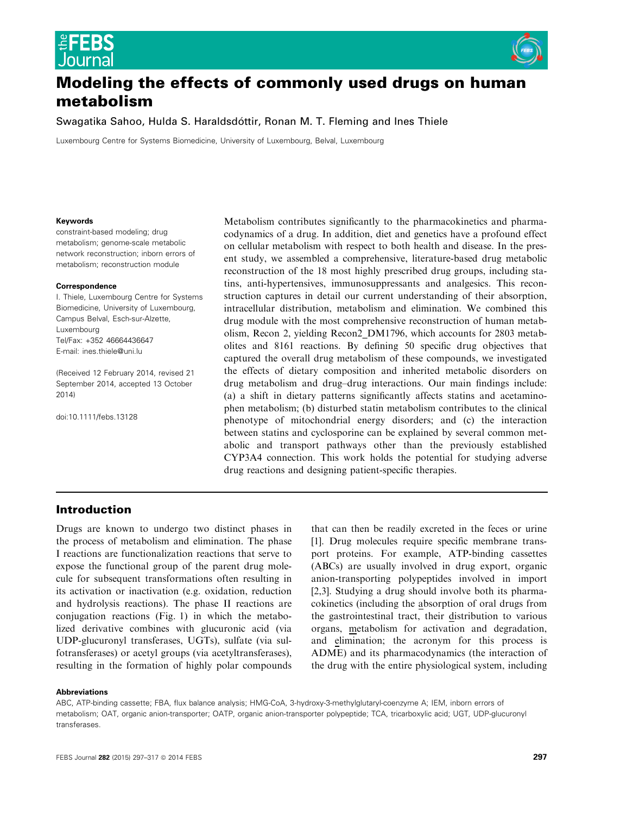

# Modeling the effects of commonly used drugs on human metabolism

Swagatika Sahoo, Hulda S. Haraldsdottir, Ronan M. T. Fleming and Ines Thiele

Luxembourg Centre for Systems Biomedicine, University of Luxembourg, Belval, Luxembourg

#### Keywords

constraint-based modeling; drug metabolism; genome-scale metabolic network reconstruction; inborn errors of metabolism; reconstruction module

#### Correspondence

I. Thiele, Luxembourg Centre for Systems Biomedicine, University of Luxembourg, Campus Belval, Esch-sur-Alzette, Luxembourg Tel/Fax: +352 46664436647 E-mail: ines.thiele@uni.lu

(Received 12 February 2014, revised 21 September 2014, accepted 13 October 2014)

doi:10.1111/febs.13128

Metabolism contributes significantly to the pharmacokinetics and pharmacodynamics of a drug. In addition, diet and genetics have a profound effect on cellular metabolism with respect to both health and disease. In the present study, we assembled a comprehensive, literature-based drug metabolic reconstruction of the 18 most highly prescribed drug groups, including statins, anti-hypertensives, immunosuppressants and analgesics. This reconstruction captures in detail our current understanding of their absorption, intracellular distribution, metabolism and elimination. We combined this drug module with the most comprehensive reconstruction of human metabolism, Recon 2, yielding Recon2\_DM1796, which accounts for 2803 metabolites and 8161 reactions. By defining 50 specific drug objectives that captured the overall drug metabolism of these compounds, we investigated the effects of dietary composition and inherited metabolic disorders on drug metabolism and drug–drug interactions. Our main findings include: (a) a shift in dietary patterns significantly affects statins and acetaminophen metabolism; (b) disturbed statin metabolism contributes to the clinical phenotype of mitochondrial energy disorders; and (c) the interaction between statins and cyclosporine can be explained by several common metabolic and transport pathways other than the previously established CYP3A4 connection. This work holds the potential for studying adverse drug reactions and designing patient-specific therapies.

# Introduction

Drugs are known to undergo two distinct phases in the process of metabolism and elimination. The phase I reactions are functionalization reactions that serve to expose the functional group of the parent drug molecule for subsequent transformations often resulting in its activation or inactivation (e.g. oxidation, reduction and hydrolysis reactions). The phase II reactions are conjugation reactions (Fig. 1) in which the metabolized derivative combines with glucuronic acid (via UDP-glucuronyl transferases, UGTs), sulfate (via sulfotransferases) or acetyl groups (via acetyltransferases), resulting in the formation of highly polar compounds that can then be readily excreted in the feces or urine [1]. Drug molecules require specific membrane transport proteins. For example, ATP-binding cassettes (ABCs) are usually involved in drug export, organic anion-transporting polypeptides involved in import [2,3]. Studying a drug should involve both its pharmacokinetics (including the absorption of oral drugs from the gastrointestinal tract, their distribution to various organs, metabolism for activation and degradation, and elimination; the acronym for this process is ADME) and its pharmacodynamics (the interaction of the drug with the entire physiological system, including

#### Abbreviations

ABC, ATP-binding cassette; FBA, flux balance analysis; HMG-CoA, 3-hydroxy-3-methylglutaryl-coenzyme A; IEM, inborn errors of metabolism; OAT, organic anion-transporter; OATP, organic anion-transporter polypeptide; TCA, tricarboxylic acid; UGT, UDP-glucuronyl transferases.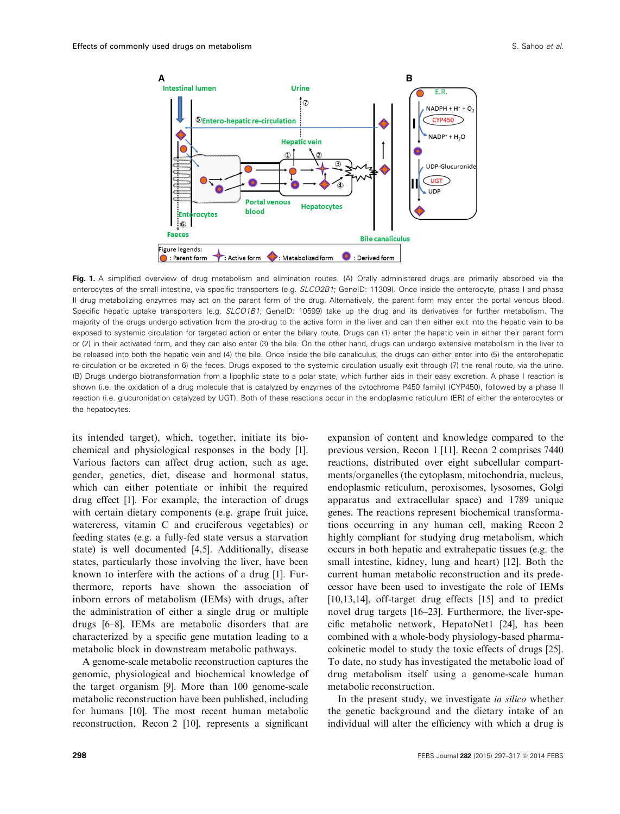

Fig. 1. A simplified overview of drug metabolism and elimination routes. (A) Orally administered drugs are primarily absorbed via the enterocytes of the small intestine, via specific transporters (e.g. SLCO2B1; GeneID: 11309). Once inside the enterocyte, phase I and phase II drug metabolizing enzymes may act on the parent form of the drug. Alternatively, the parent form may enter the portal venous blood. Specific hepatic uptake transporters (e.g. SLCO1B1; GeneID: 10599) take up the drug and its derivatives for further metabolism. The majority of the drugs undergo activation from the pro-drug to the active form in the liver and can then either exit into the hepatic vein to be exposed to systemic circulation for targeted action or enter the biliary route. Drugs can (1) enter the hepatic vein in either their parent form or (2) in their activated form, and they can also enter (3) the bile. On the other hand, drugs can undergo extensive metabolism in the liver to be released into both the hepatic vein and (4) the bile. Once inside the bile canaliculus, the drugs can either enter into (5) the enterohepatic re-circulation or be excreted in 6) the feces. Drugs exposed to the systemic circulation usually exit through (7) the renal route, via the urine. (B) Drugs undergo biotransformation from a lipophilic state to a polar state, which further aids in their easy excretion. A phase I reaction is shown (i.e. the oxidation of a drug molecule that is catalyzed by enzymes of the cytochrome P450 family) (CYP450), followed by a phase II reaction (i.e. glucuronidation catalyzed by UGT). Both of these reactions occur in the endoplasmic reticulum (ER) of either the enterocytes or the hepatocytes.

its intended target), which, together, initiate its biochemical and physiological responses in the body [1]. Various factors can affect drug action, such as age, gender, genetics, diet, disease and hormonal status, which can either potentiate or inhibit the required drug effect [1]. For example, the interaction of drugs with certain dietary components (e.g. grape fruit juice, watercress, vitamin C and cruciferous vegetables) or feeding states (e.g. a fully-fed state versus a starvation state) is well documented [4,5]. Additionally, disease states, particularly those involving the liver, have been known to interfere with the actions of a drug [1]. Furthermore, reports have shown the association of inborn errors of metabolism (IEMs) with drugs, after the administration of either a single drug or multiple drugs [6–8]. IEMs are metabolic disorders that are characterized by a specific gene mutation leading to a metabolic block in downstream metabolic pathways.

A genome-scale metabolic reconstruction captures the genomic, physiological and biochemical knowledge of the target organism [9]. More than 100 genome-scale metabolic reconstruction have been published, including for humans [10]. The most recent human metabolic reconstruction, Recon 2 [10], represents a significant

expansion of content and knowledge compared to the previous version, Recon 1 [11]. Recon 2 comprises 7440 reactions, distributed over eight subcellular compartments/organelles (the cytoplasm, mitochondria, nucleus, endoplasmic reticulum, peroxisomes, lysosomes, Golgi apparatus and extracellular space) and 1789 unique genes. The reactions represent biochemical transformations occurring in any human cell, making Recon 2 highly compliant for studying drug metabolism, which occurs in both hepatic and extrahepatic tissues (e.g. the small intestine, kidney, lung and heart) [12]. Both the current human metabolic reconstruction and its predecessor have been used to investigate the role of IEMs [10,13,14], off-target drug effects [15] and to predict novel drug targets [16–23]. Furthermore, the liver-specific metabolic network, HepatoNet1 [24], has been combined with a whole-body physiology-based pharmacokinetic model to study the toxic effects of drugs [25]. To date, no study has investigated the metabolic load of drug metabolism itself using a genome-scale human metabolic reconstruction.

In the present study, we investigate *in silico* whether the genetic background and the dietary intake of an individual will alter the efficiency with which a drug is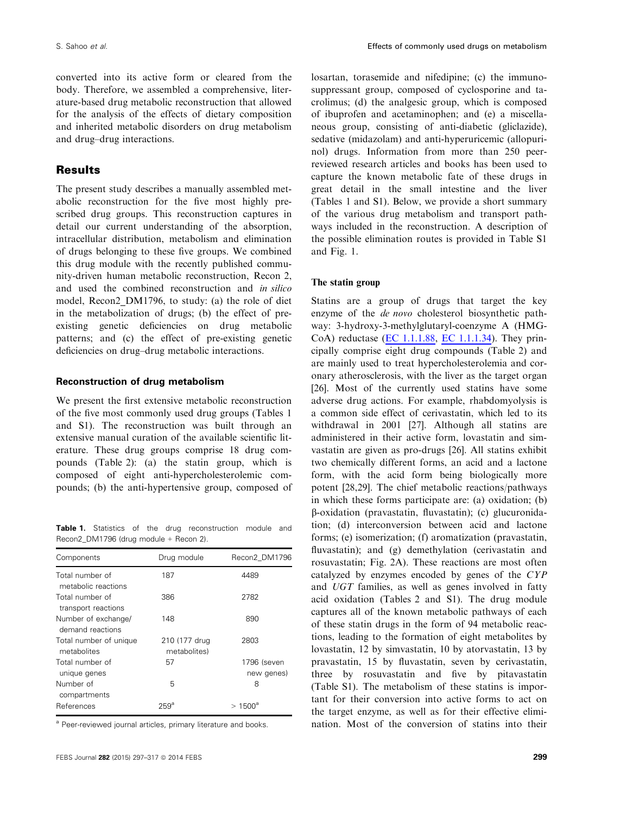converted into its active form or cleared from the body. Therefore, we assembled a comprehensive, literature-based drug metabolic reconstruction that allowed for the analysis of the effects of dietary composition and inherited metabolic disorders on drug metabolism and drug–drug interactions.

# Results

The present study describes a manually assembled metabolic reconstruction for the five most highly prescribed drug groups. This reconstruction captures in detail our current understanding of the absorption, intracellular distribution, metabolism and elimination of drugs belonging to these five groups. We combined this drug module with the recently published community-driven human metabolic reconstruction, Recon 2, and used the combined reconstruction and in silico model, Recon2\_DM1796, to study: (a) the role of diet in the metabolization of drugs; (b) the effect of preexisting genetic deficiencies on drug metabolic patterns; and (c) the effect of pre-existing genetic deficiencies on drug–drug metabolic interactions.

# Reconstruction of drug metabolism

We present the first extensive metabolic reconstruction of the five most commonly used drug groups (Tables 1 and S1). The reconstruction was built through an extensive manual curation of the available scientific literature. These drug groups comprise 18 drug compounds (Table 2): (a) the statin group, which is composed of eight anti-hypercholesterolemic compounds; (b) the anti-hypertensive group, composed of

Table 1. Statistics of the drug reconstruction module and Recon2 DM1796 (drug module + Recon 2).

| Components                              | Drug module                   | Recon2 DM1796             |
|-----------------------------------------|-------------------------------|---------------------------|
| Total number of<br>metabolic reactions  | 187                           | 4489                      |
| Total number of<br>transport reactions  | 386                           | 2782                      |
| Number of exchange/<br>demand reactions | 148                           | 890                       |
| Total number of unique<br>metabolites   | 210 (177 drug<br>metabolites) | 2803                      |
| Total number of<br>unique genes         | 57                            | 1796 (seven<br>new genes) |
| Number of<br>compartments               | 5                             | 8                         |
| References                              | 259ª                          | $>1500^{\circ}$           |

<sup>a</sup> Peer-reviewed journal articles, primary literature and books.

losartan, torasemide and nifedipine; (c) the immunosuppressant group, composed of cyclosporine and tacrolimus; (d) the analgesic group, which is composed of ibuprofen and acetaminophen; and (e) a miscellaneous group, consisting of anti-diabetic (gliclazide), sedative (midazolam) and anti-hyperuricemic (allopurinol) drugs. Information from more than 250 peerreviewed research articles and books has been used to capture the known metabolic fate of these drugs in great detail in the small intestine and the liver (Tables 1 and S1). Below, we provide a short summary of the various drug metabolism and transport pathways included in the reconstruction. A description of the possible elimination routes is provided in Table S1 and Fig. 1.

# The statin group

Statins are a group of drugs that target the key enzyme of the de novo cholesterol biosynthetic pathway: 3-hydroxy-3-methylglutaryl-coenzyme A (HMG-CoA) reductase (EC 1.1.1.88, EC 1.1.1.34). They principally comprise eight drug compounds (Table 2) and are mainly used to treat hypercholesterolemia and coronary atherosclerosis, with the liver as the target organ [26]. Most of the currently used statins have some adverse drug actions. For example, rhabdomyolysis is a common side effect of cerivastatin, which led to its withdrawal in 2001 [27]. Although all statins are administered in their active form, lovastatin and simvastatin are given as pro-drugs [26]. All statins exhibit two chemically different forms, an acid and a lactone form, with the acid form being biologically more potent [28,29]. The chief metabolic reactions/pathways in which these forms participate are: (a) oxidation; (b) b-oxidation (pravastatin, fluvastatin); (c) glucuronidation; (d) interconversion between acid and lactone forms; (e) isomerization; (f) aromatization (pravastatin, fluvastatin); and (g) demethylation (cerivastatin and rosuvastatin; Fig. 2A). These reactions are most often catalyzed by enzymes encoded by genes of the CYP and UGT families, as well as genes involved in fatty acid oxidation (Tables 2 and S1). The drug module captures all of the known metabolic pathways of each of these statin drugs in the form of 94 metabolic reactions, leading to the formation of eight metabolites by lovastatin, 12 by simvastatin, 10 by atorvastatin, 13 by pravastatin, 15 by fluvastatin, seven by cerivastatin, three by rosuvastatin and five by pitavastatin (Table S1). The metabolism of these statins is important for their conversion into active forms to act on the target enzyme, as well as for their effective elimination. Most of the conversion of statins into their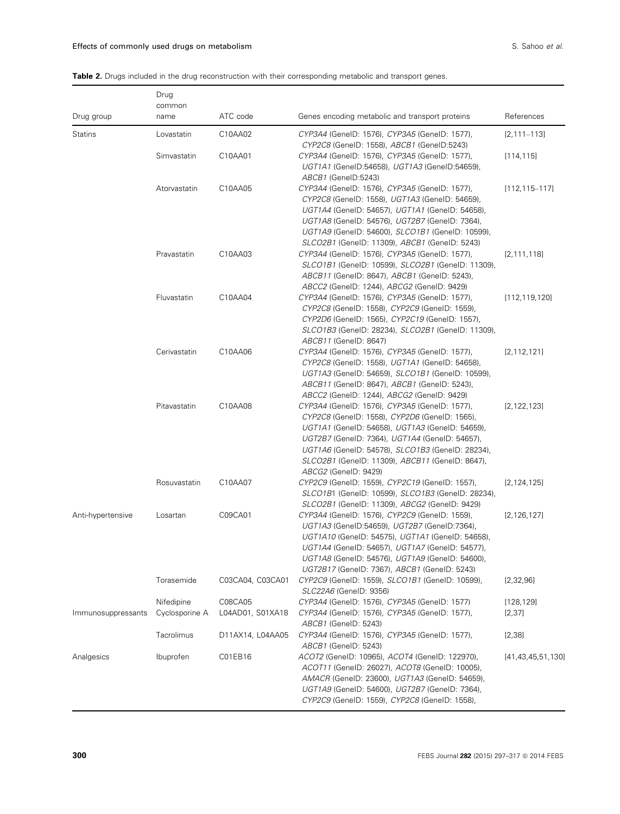# Table 2. Drugs included in the drug reconstruction with their corresponding metabolic and transport genes.

|                    | Drug<br>common |                  |                                                                                                                                                                                                                                                                                                                                    |                       |
|--------------------|----------------|------------------|------------------------------------------------------------------------------------------------------------------------------------------------------------------------------------------------------------------------------------------------------------------------------------------------------------------------------------|-----------------------|
| Drug group         | name           | ATC code         | Genes encoding metabolic and transport proteins                                                                                                                                                                                                                                                                                    | References            |
| <b>Statins</b>     | Lovastatin     | C10AA02          | CYP3A4 (GenelD: 1576), CYP3A5 (GenelD: 1577),<br>CYP2C8 (GenelD: 1558), ABCB1 (GenelD:5243)                                                                                                                                                                                                                                        | $[2, 111 - 113]$      |
|                    | Simvastatin    | C10AA01          | CYP3A4 (GenelD: 1576), CYP3A5 (GenelD: 1577),<br>UGT1A1 (GenelD:54658), UGT1A3 (GenelD:54659),<br>ABCB1 (GenelD:5243)                                                                                                                                                                                                              | [114, 115]            |
|                    | Atorvastatin   | C10AA05          | CYP3A4 (GenelD: 1576), CYP3A5 (GenelD: 1577),<br>CYP2C8 (GenelD: 1558), UGT1A3 (GenelD: 54659),<br>UGT1A4 (GenelD: 54657), UGT1A1 (GenelD: 54658),<br>UGT1A8 (GenelD: 54576), UGT2B7 (GenelD: 7364),<br>UGT1A9 (GenelD: 54600), SLCO1B1 (GenelD: 10599),<br>SLCO2B1 (GenelD: 11309), ABCB1 (GenelD: 5243)                          | $[112, 115 - 117]$    |
|                    | Pravastatin    | C10AA03          | CYP3A4 (GenelD: 1576), CYP3A5 (GenelD: 1577),<br>SLCO1B1 (GenelD: 10599), SLCO2B1 (GenelD: 11309),<br>ABCB11 (GenelD: 8647), ABCB1 (GenelD: 5243),<br>ABCC2 (GenelD: 1244), ABCG2 (GenelD: 9429)                                                                                                                                   | [2, 111, 118]         |
|                    | Fluvastatin    | C10AA04          | CYP3A4 (GenelD: 1576), CYP3A5 (GenelD: 1577),<br>CYP2C8 (GenelD: 1558), CYP2C9 (GenelD: 1559),<br>CYP2D6 (GenelD: 1565), CYP2C19 (GenelD: 1557),<br>SLCO1B3 (GenelD: 28234), SLCO2B1 (GenelD: 11309),<br><i>ABCB11</i> (GenelD: 8647)                                                                                              | [112, 119, 120]       |
|                    | Cerivastatin   | C10AA06          | CYP3A4 (GenelD: 1576), CYP3A5 (GenelD: 1577),<br>CYP2C8 (GenelD: 1558), UGT1A1 (GenelD: 54658),<br>UGT1A3 (GenelD: 54659), SLCO1B1 (GenelD: 10599),<br>ABCB11 (GenelD: 8647), ABCB1 (GenelD: 5243),<br>ABCC2 (GeneID: 1244), ABCG2 (GeneID: 9429)                                                                                  | [2, 112, 121]         |
|                    | Pitavastatin   | C10AA08          | CYP3A4 (GenelD: 1576), CYP3A5 (GenelD: 1577),<br>CYP2C8 (GenelD: 1558), CYP2D6 (GenelD: 1565),<br>UGT1A1 (GenelD: 54658), UGT1A3 (GenelD: 54659),<br>UGT2B7 (GenelD: 7364), UGT1A4 (GenelD: 54657),<br>UGT1A6 (GenelD: 54578), SLCO1B3 (GenelD: 28234),<br>SLCO2B1 (GenelD: 11309), ABCB11 (GenelD: 8647),<br>ABCG2 (GenelD: 9429) | [2, 122, 123]         |
|                    | Rosuvastatin   | C10AA07          | CYP2C9 (GenelD: 1559), CYP2C19 (GenelD: 1557),<br>SLCO1B1 (GenelD: 10599), SLCO1B3 (GenelD: 28234),<br>SLCO2B1 (GenelD: 11309), ABCG2 (GenelD: 9429)                                                                                                                                                                               | [2, 124, 125]         |
| Anti-hypertensive  | Losartan       | C09CA01          | CYP3A4 (GenelD: 1576), CYP2C9 (GenelD: 1559),<br>UGT1A3 (GeneID:54659), UGT2B7 (GeneID:7364),<br>UGT1A10 (GenelD: 54575), UGT1A1 (GenelD: 54658),<br>UGT1A4 (GenelD: 54657), UGT1A7 (GenelD: 54577),<br><i>UGT1A8</i> (GeneID: 54576), <i>UGT1A9</i> (GeneID: 54600),<br>UGT2B17 (GenelD: 7367), ABCB1 (GenelD: 5243)              | [2, 126, 127]         |
|                    | Torasemide     | C03CA04, C03CA01 | CYP2C9 (GenelD: 1559), SLCO1B1 (GenelD: 10599),<br>SLC22A6 (GenelD: 9356)                                                                                                                                                                                                                                                          | [2,32,96]             |
|                    | Nifedipine     | C08CA05          | CYP3A4 (GenelD: 1576), CYP3A5 (GenelD: 1577)                                                                                                                                                                                                                                                                                       | [128, 129]            |
| Immunosuppressants | Cyclosporine A | L04AD01, S01XA18 | CYP3A4 (GenelD: 1576), CYP3A5 (GenelD: 1577),<br>ABCB1 (GeneID: 5243)                                                                                                                                                                                                                                                              | [2, 37]               |
|                    | Tacrolimus     | D11AX14, L04AA05 | CYP3A4 (GenelD: 1576), CYP3A5 (GenelD: 1577),<br>ABCB1 (GeneID: 5243)                                                                                                                                                                                                                                                              | [2,38]                |
| Analgesics         | Ibuprofen      | C01EB16          | ACOT2 (GeneID: 10965), ACOT4 (GeneID: 122970),<br>ACOT11 (GenelD: 26027), ACOT8 (GenelD: 10005),<br>AMACR (GenelD: 23600), UGT1A3 (GenelD: 54659),<br>UGT1A9 (GeneID: 54600), UGT2B7 (GeneID: 7364),<br>CYP2C9 (GenelD: 1559), CYP2C8 (GenelD: 1558),                                                                              | [41, 43, 45, 51, 130] |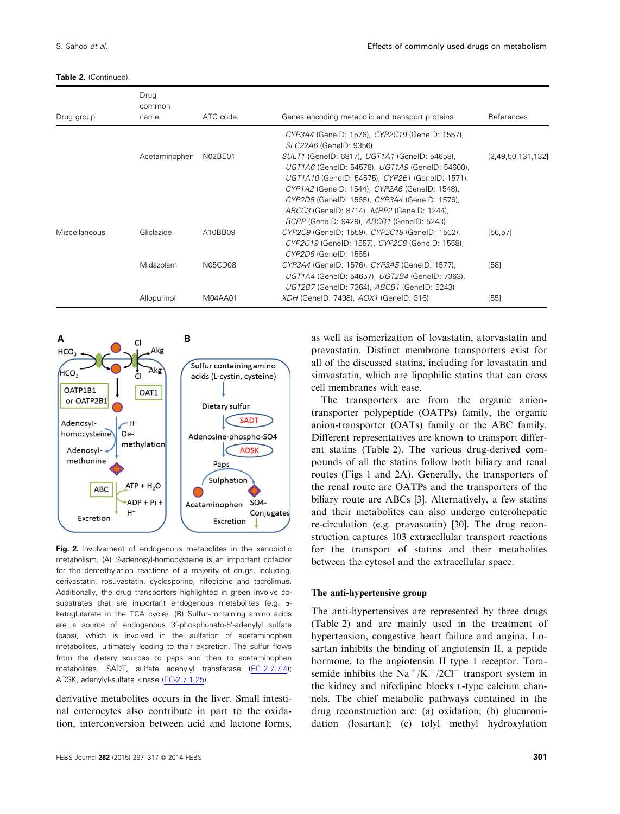Table 2. (Continued).

| Drug group    | Drug<br>common<br>name | ATC code | Genes encoding metabolic and transport proteins                                                                                                                                                                                                                                                                                                                | References        |
|---------------|------------------------|----------|----------------------------------------------------------------------------------------------------------------------------------------------------------------------------------------------------------------------------------------------------------------------------------------------------------------------------------------------------------------|-------------------|
|               |                        |          | CYP3A4 (GenelD: 1576), CYP2C19 (GenelD: 1557),<br><i>SLC22A6</i> (GenelD: 9356)                                                                                                                                                                                                                                                                                |                   |
|               | Acetaminophen          | N02BE01  | <i>SULT1</i> (GenelD: 6817), <i>UGT1A1</i> (GenelD: 54658),<br>UGT1A6 (GenelD: 54578), UGT1A9 (GenelD: 54600),<br>UGT1A10 (GenelD: 54575), CYP2E1 (GenelD: 1571),<br>CYP1A2 (GenelD: 1544), CYP2A6 (GenelD: 1548),<br>CYP2D6 (GenelD: 1565), CYP3A4 (GenelD: 1576),<br>ABCC3 (GenelD: 8714), MRP2 (GenelD: 1244),<br>BCRP (GenelD: 9429), ABCB1 (GenelD: 5243) | [2,49,50,131,132] |
| Miscellaneous | Gliclazide             | A10BB09  | CYP2C9 (GenelD: 1559), CYP2C18 (GenelD: 1562),<br>CYP2C19 (GenelD: 1557), CYP2C8 (GenelD: 1558),<br>CYP2D6 (GenelD: 1565)                                                                                                                                                                                                                                      | [56, 57]          |
|               | Midazolam              | N05CD08  | CYP3A4 (GenelD: 1576), CYP3A5 (GenelD: 1577),<br>UGT1A4 (GenelD: 54657), UGT2B4 (GenelD: 7363),<br>UGT2B7 (GenelD: 7364), ABCB1 (GenelD: 5243)                                                                                                                                                                                                                 | [58]              |
|               | Allopurinol            | M04AA01  | XDH (GenelD: 7498), AOX1 (GenelD: 316)                                                                                                                                                                                                                                                                                                                         | [55]              |



Fig. 2. Involvement of endogenous metabolites in the xenobiotic metabolism. (A) S-adenosyl-homocysteine is an important cofactor for the demethylation reactions of a majority of drugs, including, cerivastatin, rosuvastatin, cyclosporine, nifedipine and tacrolimus. Additionally, the drug transporters highlighted in green involve cosubstrates that are important endogenous metabolites (e.g.  $\alpha$ ketoglutarate in the TCA cycle). (B) Sulfur-containing amino acids are a source of endogenous 3'-phosphonato-5'-adenylyl sulfate (paps), which is involved in the sulfation of acetaminophen metabolites, ultimately leading to their excretion. The sulfur flows from the dietary sources to paps and then to acetaminophen metabolites. SADT, sulfate adenylyl transferase (EC 2.7.7.4); ADSK, adenylyl-sulfate kinase (EC-2.7.1.25).

derivative metabolites occurs in the liver. Small intestinal enterocytes also contribute in part to the oxidation, interconversion between acid and lactone forms, as well as isomerization of lovastatin, atorvastatin and pravastatin. Distinct membrane transporters exist for all of the discussed statins, including for lovastatin and simvastatin, which are lipophilic statins that can cross cell membranes with ease.

The transporters are from the organic aniontransporter polypeptide (OATPs) family, the organic anion-transporter (OATs) family or the ABC family. Different representatives are known to transport different statins (Table 2). The various drug-derived compounds of all the statins follow both biliary and renal routes (Figs 1 and 2A). Generally, the transporters of the renal route are OATPs and the transporters of the biliary route are ABCs [3]. Alternatively, a few statins and their metabolites can also undergo enterohepatic re-circulation (e.g. pravastatin) [30]. The drug reconstruction captures 103 extracellular transport reactions for the transport of statins and their metabolites between the cytosol and the extracellular space.

#### The anti-hypertensive group

The anti-hypertensives are represented by three drugs (Table 2) and are mainly used in the treatment of hypertension, congestive heart failure and angina. Losartan inhibits the binding of angiotensin II, a peptide hormone, to the angiotensin II type 1 receptor. Torasemide inhibits the  $\overline{Na}^+/K^+/2CI^-$  transport system in the kidney and nifedipine blocks <sup>L</sup>-type calcium channels. The chief metabolic pathways contained in the drug reconstruction are: (a) oxidation; (b) glucuronidation (losartan); (c) tolyl methyl hydroxylation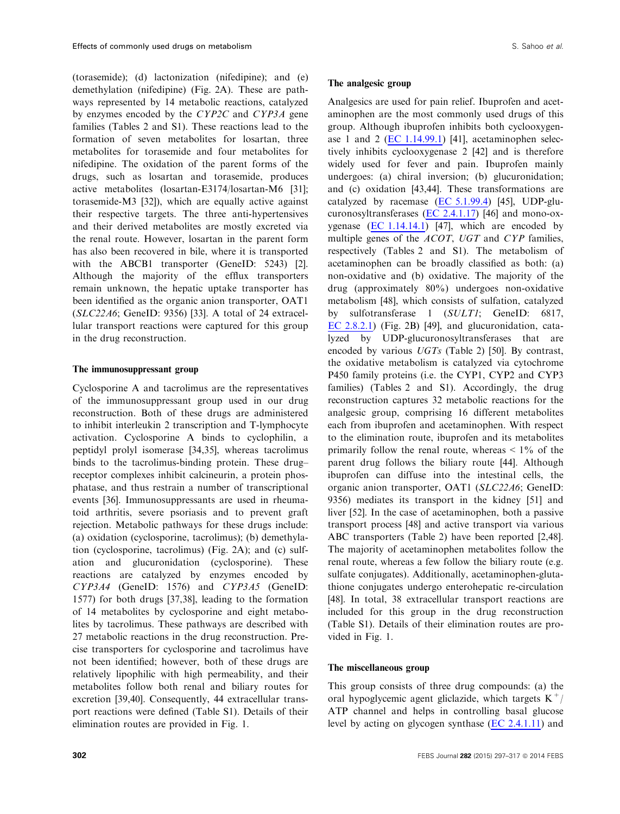(torasemide); (d) lactonization (nifedipine); and (e) demethylation (nifedipine) (Fig. 2A). These are pathways represented by 14 metabolic reactions, catalyzed by enzymes encoded by the CYP2C and CYP3A gene families (Tables 2 and S1). These reactions lead to the formation of seven metabolites for losartan, three metabolites for torasemide and four metabolites for nifedipine. The oxidation of the parent forms of the drugs, such as losartan and torasemide, produces active metabolites (losartan-E3174/losartan-M6 [31]; torasemide-M3 [32]), which are equally active against their respective targets. The three anti-hypertensives and their derived metabolites are mostly excreted via the renal route. However, losartan in the parent form has also been recovered in bile, where it is transported with the ABCB1 transporter (GeneID: 5243) [2]. Although the majority of the efflux transporters remain unknown, the hepatic uptake transporter has been identified as the organic anion transporter, OAT1 (SLC22A6; GeneID: 9356) [33]. A total of 24 extracellular transport reactions were captured for this group in the drug reconstruction.

# The immunosuppressant group

Cyclosporine A and tacrolimus are the representatives of the immunosuppressant group used in our drug reconstruction. Both of these drugs are administered to inhibit interleukin 2 transcription and T-lymphocyte activation. Cyclosporine A binds to cyclophilin, a peptidyl prolyl isomerase [34,35], whereas tacrolimus binds to the tacrolimus-binding protein. These drug– receptor complexes inhibit calcineurin, a protein phosphatase, and thus restrain a number of transcriptional events [36]. Immunosuppressants are used in rheumatoid arthritis, severe psoriasis and to prevent graft rejection. Metabolic pathways for these drugs include: (a) oxidation (cyclosporine, tacrolimus); (b) demethylation (cyclosporine, tacrolimus) (Fig. 2A); and (c) sulfation and glucuronidation (cyclosporine). These reactions are catalyzed by enzymes encoded by CYP3A4 (GeneID: 1576) and CYP3A5 (GeneID: 1577) for both drugs [37,38], leading to the formation of 14 metabolites by cyclosporine and eight metabolites by tacrolimus. These pathways are described with 27 metabolic reactions in the drug reconstruction. Precise transporters for cyclosporine and tacrolimus have not been identified; however, both of these drugs are relatively lipophilic with high permeability, and their metabolites follow both renal and biliary routes for excretion [39,40]. Consequently, 44 extracellular transport reactions were defined (Table S1). Details of their elimination routes are provided in Fig. 1.

#### The analgesic group

Analgesics are used for pain relief. Ibuprofen and acetaminophen are the most commonly used drugs of this group. Although ibuprofen inhibits both cyclooxygenase 1 and 2 (EC 1.14.99.1) [41], acetaminophen selectively inhibits cyclooxygenase 2 [42] and is therefore widely used for fever and pain. Ibuprofen mainly undergoes: (a) chiral inversion; (b) glucuronidation; and (c) oxidation [43,44]. These transformations are catalyzed by racemase (EC 5.1.99.4) [45], UDP-glucuronosyltransferases (EC 2.4.1.17) [46] and mono-oxygenase  $(EC 1.14.14.1)$  [47], which are encoded by multiple genes of the *ACOT*, UGT and CYP families, respectively (Tables 2 and S1). The metabolism of acetaminophen can be broadly classified as both: (a) non-oxidative and (b) oxidative. The majority of the drug (approximately 80%) undergoes non-oxidative metabolism [48], which consists of sulfation, catalyzed by sulfotransferase 1 (SULT1; GeneID: 6817, EC 2.8.2.1) (Fig. 2B) [49], and glucuronidation, catalyzed by UDP-glucuronosyltransferases that are encoded by various UGTs (Table 2) [50]. By contrast, the oxidative metabolism is catalyzed via cytochrome P450 family proteins (i.e. the CYP1, CYP2 and CYP3 families) (Tables 2 and S1). Accordingly, the drug reconstruction captures 32 metabolic reactions for the analgesic group, comprising 16 different metabolites each from ibuprofen and acetaminophen. With respect to the elimination route, ibuprofen and its metabolites primarily follow the renal route, whereas  $\leq 1\%$  of the parent drug follows the biliary route [44]. Although ibuprofen can diffuse into the intestinal cells, the organic anion transporter, OAT1 (SLC22A6; GeneID: 9356) mediates its transport in the kidney [51] and liver [52]. In the case of acetaminophen, both a passive transport process [48] and active transport via various ABC transporters (Table 2) have been reported [2,48]. The majority of acetaminophen metabolites follow the renal route, whereas a few follow the biliary route (e.g. sulfate conjugates). Additionally, acetaminophen-glutathione conjugates undergo enterohepatic re-circulation [48]. In total, 38 extracellular transport reactions are included for this group in the drug reconstruction (Table S1). Details of their elimination routes are provided in Fig. 1.

#### The miscellaneous group

This group consists of three drug compounds: (a) the oral hypoglycemic agent gliclazide, which targets  $K^+$ / ATP channel and helps in controlling basal glucose level by acting on glycogen synthase (EC 2.4.1.11) and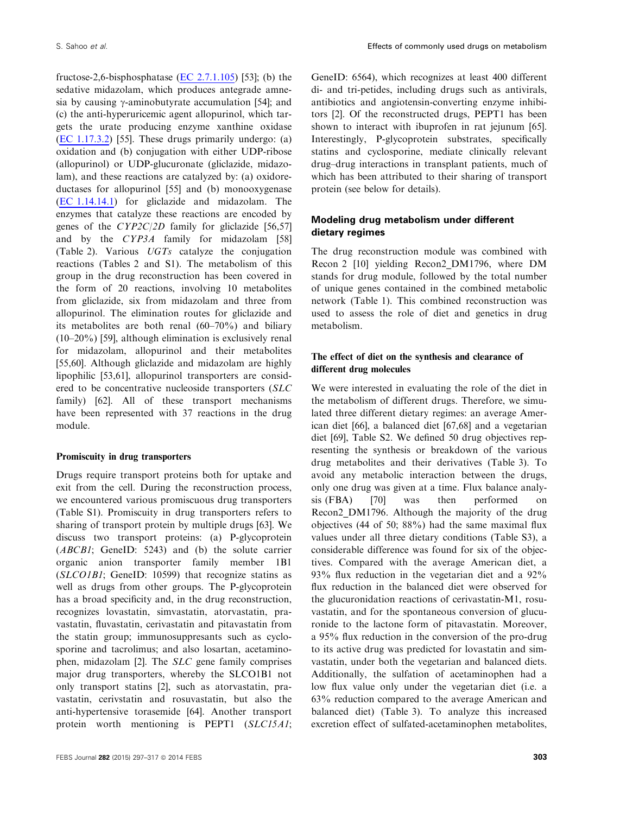fructose-2,6-bisphosphatase (EC 2.7.1.105) [53]; (b) the sedative midazolam, which produces antegrade amnesia by causing  $\gamma$ -aminobutyrate accumulation [54]; and (c) the anti-hyperuricemic agent allopurinol, which targets the urate producing enzyme xanthine oxidase (EC 1.17.3.2) [55]. These drugs primarily undergo: (a) oxidation and (b) conjugation with either UDP-ribose (allopurinol) or UDP-glucuronate (gliclazide, midazolam), and these reactions are catalyzed by: (a) oxidoreductases for allopurinol [55] and (b) monooxygenase (EC 1.14.14.1) for gliclazide and midazolam. The enzymes that catalyze these reactions are encoded by genes of the CYP2C/2D family for gliclazide [56,57] and by the CYP3A family for midazolam [58] (Table 2). Various UGTs catalyze the conjugation reactions (Tables 2 and S1). The metabolism of this group in the drug reconstruction has been covered in the form of 20 reactions, involving 10 metabolites from gliclazide, six from midazolam and three from allopurinol. The elimination routes for gliclazide and its metabolites are both renal  $(60-70\%)$  and biliary (10–20%) [59], although elimination is exclusively renal for midazolam, allopurinol and their metabolites [55,60]. Although gliclazide and midazolam are highly lipophilic [53,61], allopurinol transporters are considered to be concentrative nucleoside transporters (SLC family) [62]. All of these transport mechanisms have been represented with 37 reactions in the drug module.

#### Promiscuity in drug transporters

Drugs require transport proteins both for uptake and exit from the cell. During the reconstruction process, we encountered various promiscuous drug transporters (Table S1). Promiscuity in drug transporters refers to sharing of transport protein by multiple drugs [63]. We discuss two transport proteins: (a) P-glycoprotein (ABCB1; GeneID: 5243) and (b) the solute carrier organic anion transporter family member 1B1 (SLCO1B1; GeneID: 10599) that recognize statins as well as drugs from other groups. The P-glycoprotein has a broad specificity and, in the drug reconstruction, recognizes lovastatin, simvastatin, atorvastatin, pravastatin, fluvastatin, cerivastatin and pitavastatin from the statin group; immunosuppresants such as cyclosporine and tacrolimus; and also losartan, acetaminophen, midazolam [2]. The SLC gene family comprises major drug transporters, whereby the SLCO1B1 not only transport statins [2], such as atorvastatin, pravastatin, cerivstatin and rosuvastatin, but also the anti-hypertensive torasemide [64]. Another transport protein worth mentioning is PEPT1 (SLC15A1; GeneID: 6564), which recognizes at least 400 different di- and tri-petides, including drugs such as antivirals, antibiotics and angiotensin-converting enzyme inhibitors [2]. Of the reconstructed drugs, PEPT1 has been shown to interact with ibuprofen in rat jejunum [65]. Interestingly, P-glycoprotein substrates, specifically statins and cyclosporine, mediate clinically relevant drug–drug interactions in transplant patients, much of which has been attributed to their sharing of transport protein (see below for details).

# Modeling drug metabolism under different dietary regimes

The drug reconstruction module was combined with Recon 2 [10] yielding Recon2\_DM1796, where DM stands for drug module, followed by the total number of unique genes contained in the combined metabolic network (Table 1). This combined reconstruction was used to assess the role of diet and genetics in drug metabolism.

# The effect of diet on the synthesis and clearance of different drug molecules

We were interested in evaluating the role of the diet in the metabolism of different drugs. Therefore, we simulated three different dietary regimes: an average American diet [66], a balanced diet [67,68] and a vegetarian diet [69], Table S2. We defined 50 drug objectives representing the synthesis or breakdown of the various drug metabolites and their derivatives (Table 3). To avoid any metabolic interaction between the drugs, only one drug was given at a time. Flux balance analysis (FBA) [70] was then performed on Recon2\_DM1796. Although the majority of the drug objectives (44 of 50; 88%) had the same maximal flux values under all three dietary conditions (Table S3), a considerable difference was found for six of the objectives. Compared with the average American diet, a 93% flux reduction in the vegetarian diet and a 92% flux reduction in the balanced diet were observed for the glucuronidation reactions of cerivastatin-M1, rosuvastatin, and for the spontaneous conversion of glucuronide to the lactone form of pitavastatin. Moreover, a 95% flux reduction in the conversion of the pro-drug to its active drug was predicted for lovastatin and simvastatin, under both the vegetarian and balanced diets. Additionally, the sulfation of acetaminophen had a low flux value only under the vegetarian diet (i.e. a 63% reduction compared to the average American and balanced diet) (Table 3). To analyze this increased excretion effect of sulfated-acetaminophen metabolites,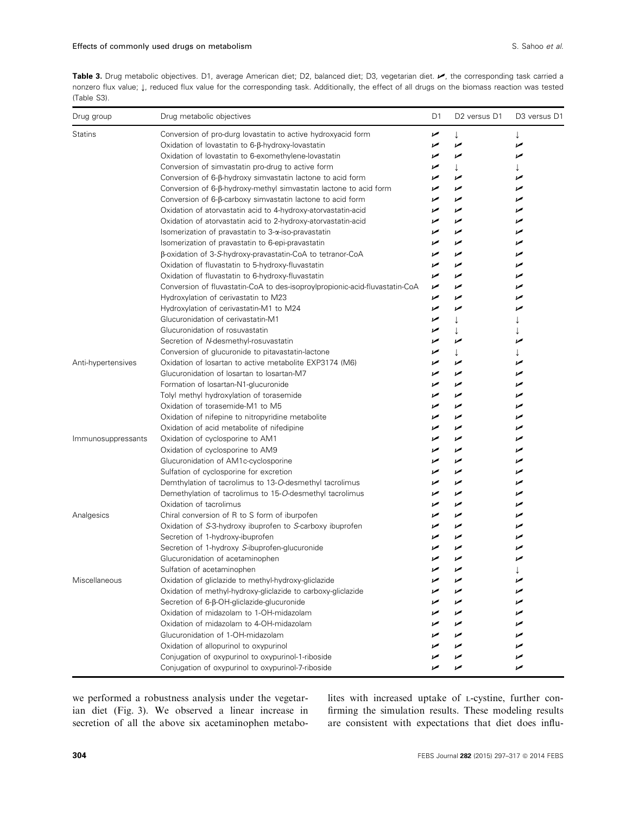Table 3. Drug metabolic objectives. D1, average American diet; D2, balanced diet; D3, vegetarian diet.  $\blacktriangleright$ , the corresponding task carried a nonzero flux value; ↓, reduced flux value for the corresponding task. Additionally, the effect of all drugs on the biomass reaction was tested (Table S3).

| Drug group         | Drug metabolic objectives                                                   | D1  | D <sub>2</sub> versus D <sub>1</sub> | D <sub>3</sub> versus D <sub>1</sub> |
|--------------------|-----------------------------------------------------------------------------|-----|--------------------------------------|--------------------------------------|
| <b>Statins</b>     | Conversion of pro-durg lovastatin to active hydroxyacid form                | ➤   | $\downarrow$                         | ↓                                    |
|                    | Oxidation of lovastatin to 6-β-hydroxy-lovastatin                           | مما | مما                                  | مما                                  |
|                    | Oxidation of lovastatin to 6-exomethylene-lovastatin                        | ✔   | مما                                  | مما                                  |
|                    | Conversion of simvastatin pro-drug to active form                           | ↙   | $\downarrow$                         |                                      |
|                    | Conversion of 6-β-hydroxy simvastatin lactone to acid form                  | مما | مما                                  | مما                                  |
|                    | Conversion of 6-ß-hydroxy-methyl simvastatin lactone to acid form           | مما | مما                                  | مما                                  |
|                    | Conversion of 6-β-carboxy simvastatin lactone to acid form                  | مما | مما                                  | مما                                  |
|                    | Oxidation of atorvastatin acid to 4-hydroxy-atorvastatin-acid               | ້   | مما                                  | مما                                  |
|                    | Oxidation of atorvastatin acid to 2-hydroxy-atorvastatin-acid               | مما | مما                                  | مما                                  |
|                    | Isomerization of pravastatin to 3-α-iso-pravastatin                         | مما | مما                                  | مما                                  |
|                    | Isomerization of pravastatin to 6-epi-pravastatin                           | مما | مما                                  | مما                                  |
|                    | β-oxidation of 3-S-hydroxy-pravastatin-CoA to tetranor-CoA                  | ✔   | مما                                  | مما                                  |
|                    | Oxidation of fluvastatin to 5-hydroxy-fluvastatin                           | ✔   | مما                                  | مما                                  |
|                    | Oxidation of fluvastatin to 6-hydroxy-fluvastatin                           | مما | مما                                  | مما                                  |
|                    | Conversion of fluvastatin-CoA to des-isoproylpropionic-acid-fluvastatin-CoA | مما | مما                                  | مما                                  |
|                    | Hydroxylation of cerivastatin to M23                                        | مما | مما                                  | مما                                  |
|                    | Hydroxylation of cerivastatin-M1 to M24                                     | مما | مما                                  | مما                                  |
|                    | Glucuronidation of cerivastatin-M1                                          | مما | $\downarrow$                         |                                      |
|                    | Glucuronidation of rosuvastatin                                             | مما | T.                                   |                                      |
|                    | Secretion of N-desmethyl-rosuvastatin                                       | ✔   | مما                                  | مما                                  |
|                    | Conversion of glucuronide to pitavastatin-lactone                           | مما | $\downarrow$                         | T                                    |
| Anti-hypertensives | Oxidation of losartan to active metabolite EXP3174 (M6)                     | ✔   | مما                                  | مما                                  |
|                    | Glucuronidation of losartan to losartan-M7                                  | مما | مما                                  | مما                                  |
|                    | Formation of losartan-N1-glucuronide                                        | ✔   | مما                                  | مما                                  |
|                    | Tolyl methyl hydroxylation of torasemide                                    | مما | مما                                  | مما                                  |
|                    | Oxidation of torasemide-M1 to M5                                            | ✔   | مما                                  | مما                                  |
|                    | Oxidation of nifepine to nitropyridine metabolite                           | ✔   | مما                                  | مما                                  |
|                    | Oxidation of acid metabolite of nifedipine                                  | ✔   | مما                                  | مما                                  |
| Immunosuppressants | Oxidation of cyclosporine to AM1                                            | مما | مما                                  | مما                                  |
|                    | Oxidation of cyclosporine to AM9                                            | ✔   | مما                                  | مما                                  |
|                    | Glucuronidation of AM1c-cyclosporine                                        | مما | ✔                                    | مما                                  |
|                    | Sulfation of cyclosporine for excretion                                     | ✔   | ✔                                    | مما                                  |
|                    | Demthylation of tacrolimus to 13-O-desmethyl tacrolimus                     | مما | مما                                  | مما                                  |
|                    | Demethylation of tacrolimus to 15-O-desmethyl tacrolimus                    | ✔   | مما                                  | مما                                  |
|                    | Oxidation of tacrolimus                                                     | ✔   | ✔                                    | ✔                                    |
| Analgesics         | Chiral conversion of R to S form of iburpofen                               | ✔   | مما                                  | مما                                  |
|                    | Oxidation of S-3-hydroxy ibuprofen to S-carboxy ibuprofen                   | مما | مما                                  | مما                                  |
|                    | Secretion of 1-hydroxy-ibuprofen                                            | مما | مما                                  | مما                                  |
|                    | Secretion of 1-hydroxy S-ibuprofen-glucuronide                              | ممن | مما                                  | مما                                  |
|                    | Glucuronidation of acetaminophen                                            |     | مما                                  | ✔                                    |
|                    | Sulfation of acetaminophen                                                  | مما | مما                                  |                                      |
| Miscellaneous      | Oxidation of gliclazide to methyl-hydroxy-gliclazide                        |     | مما                                  | مما                                  |
|                    | Oxidation of methyl-hydroxy-gliclazide to carboxy-gliclazide                | مرا | ↙                                    | مما                                  |
|                    | Secretion of 6-β-OH-gliclazide-glucuronide                                  | ↙   | مما                                  | مما                                  |
|                    | Oxidation of midazolam to 1-OH-midazolam                                    | مما | مما                                  | مما                                  |
|                    | Oxidation of midazolam to 4-OH-midazolam                                    | ↙   | مما                                  | مما                                  |
|                    | Glucuronidation of 1-OH-midazolam                                           | ✔   | مما                                  | مما                                  |
|                    | Oxidation of allopurinol to oxypurinol                                      | ↙   | ✔                                    | مما                                  |
|                    | Conjugation of oxypurinol to oxypurinol-1-riboside                          | ✔   | مما                                  | مما                                  |
|                    | Conjugation of oxypurinol to oxypurinol-7-riboside                          |     | مما                                  | مما                                  |

we performed a robustness analysis under the vegetarian diet (Fig. 3). We observed a linear increase in secretion of all the above six acetaminophen metabolites with increased uptake of <sup>L</sup>-cystine, further confirming the simulation results. These modeling results are consistent with expectations that diet does influ-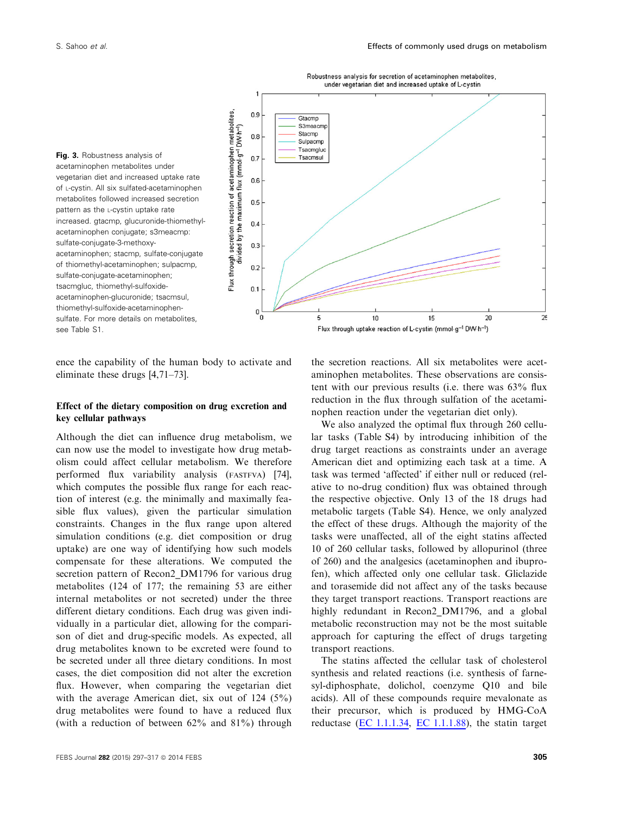



ence the capability of the human body to activate and eliminate these drugs [4,71–73].

# Effect of the dietary composition on drug excretion and key cellular pathways

Although the diet can influence drug metabolism, we can now use the model to investigate how drug metabolism could affect cellular metabolism. We therefore performed flux variability analysis (FASTFVA) [74], which computes the possible flux range for each reaction of interest (e.g. the minimally and maximally feasible flux values), given the particular simulation constraints. Changes in the flux range upon altered simulation conditions (e.g. diet composition or drug uptake) are one way of identifying how such models compensate for these alterations. We computed the secretion pattern of Recon2\_DM1796 for various drug metabolites (124 of 177; the remaining 53 are either internal metabolites or not secreted) under the three different dietary conditions. Each drug was given individually in a particular diet, allowing for the comparison of diet and drug-specific models. As expected, all drug metabolites known to be excreted were found to be secreted under all three dietary conditions. In most cases, the diet composition did not alter the excretion flux. However, when comparing the vegetarian diet with the average American diet, six out of 124 (5%) drug metabolites were found to have a reduced flux (with a reduction of between 62% and 81%) through

FEBS Journal 282 (2015) 297-317 © 2014 FEBS 305

the secretion reactions. All six metabolites were acetaminophen metabolites. These observations are consistent with our previous results (i.e. there was 63% flux reduction in the flux through sulfation of the acetaminophen reaction under the vegetarian diet only).

We also analyzed the optimal flux through 260 cellular tasks (Table S4) by introducing inhibition of the drug target reactions as constraints under an average American diet and optimizing each task at a time. A task was termed 'affected' if either null or reduced (relative to no-drug condition) flux was obtained through the respective objective. Only 13 of the 18 drugs had metabolic targets (Table S4). Hence, we only analyzed the effect of these drugs. Although the majority of the tasks were unaffected, all of the eight statins affected 10 of 260 cellular tasks, followed by allopurinol (three of 260) and the analgesics (acetaminophen and ibuprofen), which affected only one cellular task. Gliclazide and torasemide did not affect any of the tasks because they target transport reactions. Transport reactions are highly redundant in Recon2 DM1796, and a global metabolic reconstruction may not be the most suitable approach for capturing the effect of drugs targeting transport reactions.

The statins affected the cellular task of cholesterol synthesis and related reactions (i.e. synthesis of farnesyl-diphosphate, dolichol, coenzyme Q10 and bile acids). All of these compounds require mevalonate as their precursor, which is produced by HMG-CoA reductase (EC  $1.1.1.34$ , EC  $1.1.1.88$ ), the statin target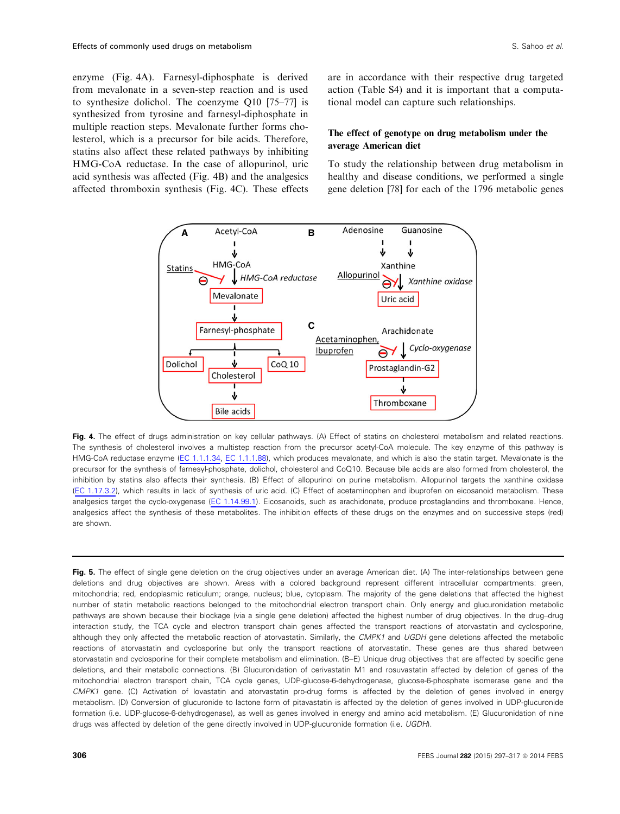enzyme (Fig. 4A). Farnesyl-diphosphate is derived from mevalonate in a seven-step reaction and is used to synthesize dolichol. The coenzyme Q10 [75–77] is synthesized from tyrosine and farnesyl-diphosphate in multiple reaction steps. Mevalonate further forms cholesterol, which is a precursor for bile acids. Therefore, statins also affect these related pathways by inhibiting HMG-CoA reductase. In the case of allopurinol, uric acid synthesis was affected (Fig. 4B) and the analgesics affected thromboxin synthesis (Fig. 4C). These effects are in accordance with their respective drug targeted action (Table S4) and it is important that a computational model can capture such relationships.

# The effect of genotype on drug metabolism under the average American diet

To study the relationship between drug metabolism in healthy and disease conditions, we performed a single gene deletion [78] for each of the 1796 metabolic genes



Fig. 4. The effect of drugs administration on key cellular pathways. (A) Effect of statins on cholesterol metabolism and related reactions. The synthesis of cholesterol involves a multistep reaction from the precursor acetyl-CoA molecule. The key enzyme of this pathway is HMG-CoA reductase enzyme (EC 1.1.1.34, EC 1.1.1.88), which produces mevalonate, and which is also the statin target. Mevalonate is the precursor for the synthesis of farnesyl-phosphate, dolichol, cholesterol and CoQ10. Because bile acids are also formed from cholesterol, the inhibition by statins also affects their synthesis. (B) Effect of allopurinol on purine metabolism. Allopurinol targets the xanthine oxidase (EC 1.17.3.2), which results in lack of synthesis of uric acid. (C) Effect of acetaminophen and ibuprofen on eicosanoid metabolism. These analgesics target the cyclo-oxygenase (EC 1.14.99.1). Eicosanoids, such as arachidonate, produce prostaglandins and thromboxane. Hence, analgesics affect the synthesis of these metabolites. The inhibition effects of these drugs on the enzymes and on successive steps (red) are shown.

Fig. 5. The effect of single gene deletion on the drug objectives under an average American diet. (A) The inter-relationships between gene deletions and drug objectives are shown. Areas with a colored background represent different intracellular compartments: green, mitochondria; red, endoplasmic reticulum; orange, nucleus; blue, cytoplasm. The majority of the gene deletions that affected the highest number of statin metabolic reactions belonged to the mitochondrial electron transport chain. Only energy and glucuronidation metabolic pathways are shown because their blockage (via a single gene deletion) affected the highest number of drug objectives. In the drug–drug interaction study, the TCA cycle and electron transport chain genes affected the transport reactions of atorvastatin and cyclosporine, although they only affected the metabolic reaction of atorvastatin. Similarly, the CMPK1 and UGDH gene deletions affected the metabolic reactions of atorvastatin and cyclosporine but only the transport reactions of atorvastatin. These genes are thus shared between atorvastatin and cyclosporine for their complete metabolism and elimination. (B–E) Unique drug objectives that are affected by specific gene deletions, and their metabolic connections. (B) Glucuronidation of cerivastatin M1 and rosuvastatin affected by deletion of genes of the mitochondrial electron transport chain, TCA cycle genes, UDP-glucose-6-dehydrogenase, glucose-6-phosphate isomerase gene and the CMPK1 gene. (C) Activation of lovastatin and atorvastatin pro-drug forms is affected by the deletion of genes involved in energy metabolism. (D) Conversion of glucuronide to lactone form of pitavastatin is affected by the deletion of genes involved in UDP-glucuronide formation (i.e. UDP-glucose-6-dehydrogenase), as well as genes involved in energy and amino acid metabolism. (E) Glucuronidation of nine drugs was affected by deletion of the gene directly involved in UDP-glucuronide formation (i.e. UGDH).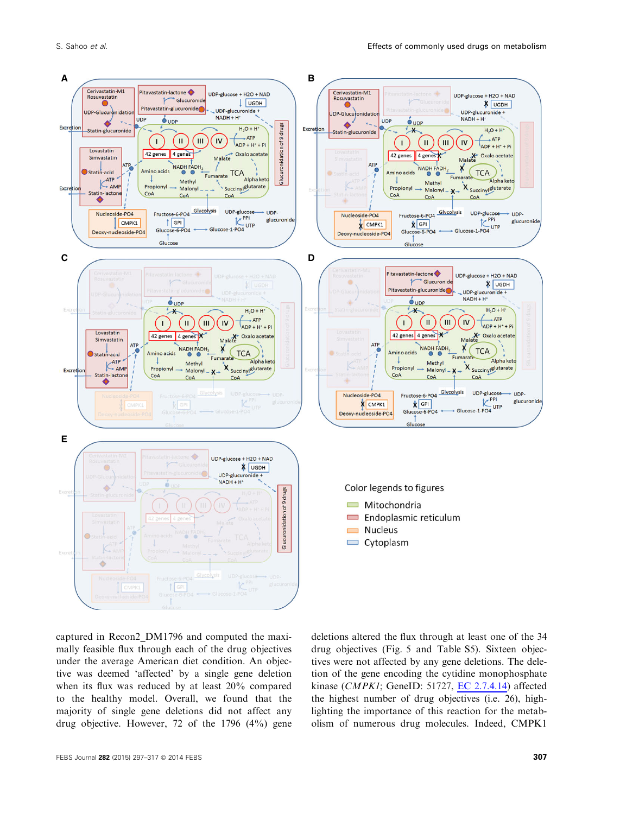

captured in Recon2\_DM1796 and computed the maximally feasible flux through each of the drug objectives under the average American diet condition. An objective was deemed 'affected' by a single gene deletion when its flux was reduced by at least 20% compared to the healthy model. Overall, we found that the majority of single gene deletions did not affect any drug objective. However, 72 of the 1796 (4%) gene deletions altered the flux through at least one of the 34 drug objectives (Fig. 5 and Table S5). Sixteen objectives were not affected by any gene deletions. The deletion of the gene encoding the cytidine monophosphate kinase (CMPK1; GeneID: 51727, EC 2.7.4.14) affected the highest number of drug objectives  $(i.e. 26)$ , highlighting the importance of this reaction for the metabolism of numerous drug molecules. Indeed, CMPK1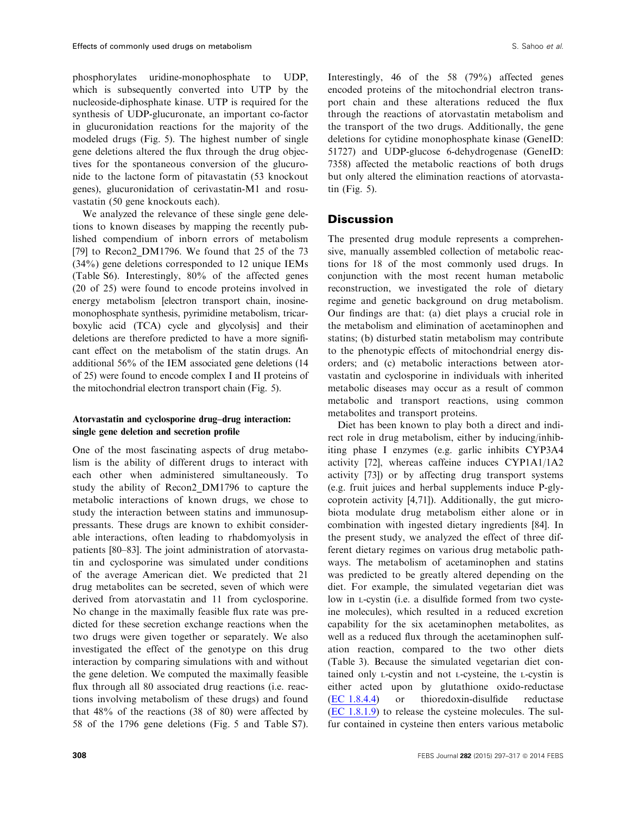phosphorylates uridine-monophosphate to UDP, which is subsequently converted into UTP by the nucleoside-diphosphate kinase. UTP is required for the synthesis of UDP-glucuronate, an important co-factor in glucuronidation reactions for the majority of the modeled drugs (Fig. 5). The highest number of single gene deletions altered the flux through the drug objectives for the spontaneous conversion of the glucuronide to the lactone form of pitavastatin (53 knockout genes), glucuronidation of cerivastatin-M1 and rosuvastatin (50 gene knockouts each).

We analyzed the relevance of these single gene deletions to known diseases by mapping the recently published compendium of inborn errors of metabolism [79] to Recon2 DM1796. We found that 25 of the 73 (34%) gene deletions corresponded to 12 unique IEMs (Table S6). Interestingly, 80% of the affected genes (20 of 25) were found to encode proteins involved in energy metabolism [electron transport chain, inosinemonophosphate synthesis, pyrimidine metabolism, tricarboxylic acid (TCA) cycle and glycolysis] and their deletions are therefore predicted to have a more significant effect on the metabolism of the statin drugs. An additional 56% of the IEM associated gene deletions (14 of 25) were found to encode complex I and II proteins of the mitochondrial electron transport chain (Fig. 5).

# Atorvastatin and cyclosporine drug–drug interaction: single gene deletion and secretion profile

One of the most fascinating aspects of drug metabolism is the ability of different drugs to interact with each other when administered simultaneously. To study the ability of Recon2\_DM1796 to capture the metabolic interactions of known drugs, we chose to study the interaction between statins and immunosuppressants. These drugs are known to exhibit considerable interactions, often leading to rhabdomyolysis in patients [80–83]. The joint administration of atorvastatin and cyclosporine was simulated under conditions of the average American diet. We predicted that 21 drug metabolites can be secreted, seven of which were derived from atorvastatin and 11 from cyclosporine. No change in the maximally feasible flux rate was predicted for these secretion exchange reactions when the two drugs were given together or separately. We also investigated the effect of the genotype on this drug interaction by comparing simulations with and without the gene deletion. We computed the maximally feasible flux through all 80 associated drug reactions (i.e. reactions involving metabolism of these drugs) and found that 48% of the reactions (38 of 80) were affected by 58 of the 1796 gene deletions (Fig. 5 and Table S7).

Interestingly, 46 of the 58 (79%) affected genes encoded proteins of the mitochondrial electron transport chain and these alterations reduced the flux through the reactions of atorvastatin metabolism and the transport of the two drugs. Additionally, the gene deletions for cytidine monophosphate kinase (GeneID: 51727) and UDP-glucose 6-dehydrogenase (GeneID: 7358) affected the metabolic reactions of both drugs but only altered the elimination reactions of atorvastatin (Fig. 5).

# **Discussion**

The presented drug module represents a comprehensive, manually assembled collection of metabolic reactions for 18 of the most commonly used drugs. In conjunction with the most recent human metabolic reconstruction, we investigated the role of dietary regime and genetic background on drug metabolism. Our findings are that: (a) diet plays a crucial role in the metabolism and elimination of acetaminophen and statins; (b) disturbed statin metabolism may contribute to the phenotypic effects of mitochondrial energy disorders; and (c) metabolic interactions between atorvastatin and cyclosporine in individuals with inherited metabolic diseases may occur as a result of common metabolic and transport reactions, using common metabolites and transport proteins.

Diet has been known to play both a direct and indirect role in drug metabolism, either by inducing/inhibiting phase I enzymes (e.g. garlic inhibits CYP3A4 activity [72], whereas caffeine induces CYP1A1/1A2 activity [73]) or by affecting drug transport systems (e.g. fruit juices and herbal supplements induce P-glycoprotein activity [4,71]). Additionally, the gut microbiota modulate drug metabolism either alone or in combination with ingested dietary ingredients [84]. In the present study, we analyzed the effect of three different dietary regimes on various drug metabolic pathways. The metabolism of acetaminophen and statins was predicted to be greatly altered depending on the diet. For example, the simulated vegetarian diet was low in <sup>L</sup>-cystin (i.e. a disulfide formed from two cysteine molecules), which resulted in a reduced excretion capability for the six acetaminophen metabolites, as well as a reduced flux through the acetaminophen sulfation reaction, compared to the two other diets (Table 3). Because the simulated vegetarian diet contained only <sup>L</sup>-cystin and not <sup>L</sup>-cysteine, the <sup>L</sup>-cystin is either acted upon by glutathione oxido-reductase (EC 1.8.4.4) or thioredoxin-disulfide reductase (EC 1.8.1.9) to release the cysteine molecules. The sulfur contained in cysteine then enters various metabolic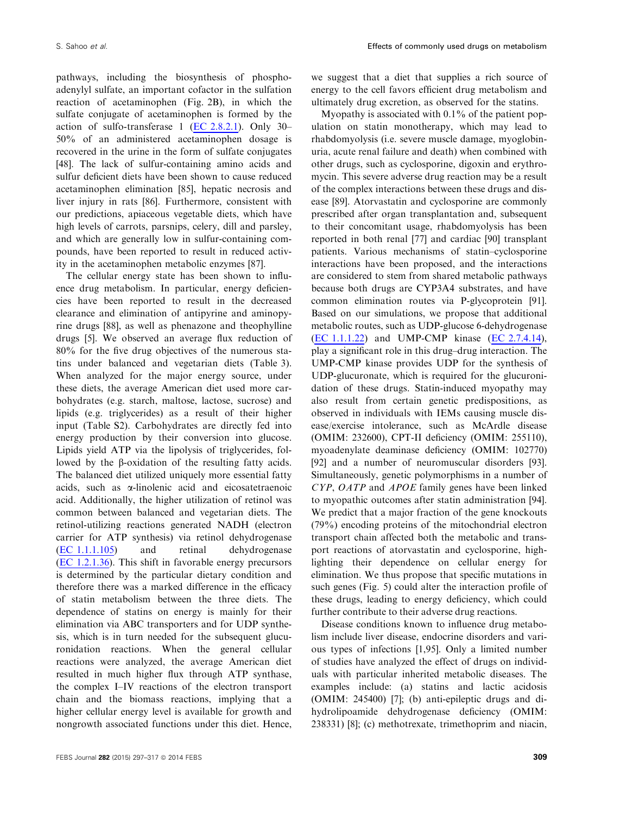pathways, including the biosynthesis of phosphoadenylyl sulfate, an important cofactor in the sulfation reaction of acetaminophen (Fig. 2B), in which the sulfate conjugate of acetaminophen is formed by the action of sulfo-transferase 1 (EC 2.8.2.1). Only 30– 50% of an administered acetaminophen dosage is recovered in the urine in the form of sulfate conjugates [48]. The lack of sulfur-containing amino acids and sulfur deficient diets have been shown to cause reduced acetaminophen elimination [85], hepatic necrosis and liver injury in rats [86]. Furthermore, consistent with our predictions, apiaceous vegetable diets, which have high levels of carrots, parsnips, celery, dill and parsley, and which are generally low in sulfur-containing compounds, have been reported to result in reduced activity in the acetaminophen metabolic enzymes [87].

The cellular energy state has been shown to influence drug metabolism. In particular, energy deficiencies have been reported to result in the decreased clearance and elimination of antipyrine and aminopyrine drugs [88], as well as phenazone and theophylline drugs [5]. We observed an average flux reduction of 80% for the five drug objectives of the numerous statins under balanced and vegetarian diets (Table 3). When analyzed for the major energy source, under these diets, the average American diet used more carbohydrates (e.g. starch, maltose, lactose, sucrose) and lipids (e.g. triglycerides) as a result of their higher input (Table S2). Carbohydrates are directly fed into energy production by their conversion into glucose. Lipids yield ATP via the lipolysis of triglycerides, followed by the  $\beta$ -oxidation of the resulting fatty acids. The balanced diet utilized uniquely more essential fatty acids, such as a-linolenic acid and eicosatetraenoic acid. Additionally, the higher utilization of retinol was common between balanced and vegetarian diets. The retinol-utilizing reactions generated NADH (electron carrier for ATP synthesis) via retinol dehydrogenase (EC 1.1.1.105) and retinal dehydrogenase (EC 1.2.1.36). This shift in favorable energy precursors is determined by the particular dietary condition and therefore there was a marked difference in the efficacy of statin metabolism between the three diets. The dependence of statins on energy is mainly for their elimination via ABC transporters and for UDP synthesis, which is in turn needed for the subsequent glucuronidation reactions. When the general cellular reactions were analyzed, the average American diet resulted in much higher flux through ATP synthase, the complex I–IV reactions of the electron transport chain and the biomass reactions, implying that a higher cellular energy level is available for growth and nongrowth associated functions under this diet. Hence,

we suggest that a diet that supplies a rich source of energy to the cell favors efficient drug metabolism and ultimately drug excretion, as observed for the statins.

Myopathy is associated with 0.1% of the patient population on statin monotherapy, which may lead to rhabdomyolysis (i.e. severe muscle damage, myoglobinuria, acute renal failure and death) when combined with other drugs, such as cyclosporine, digoxin and erythromycin. This severe adverse drug reaction may be a result of the complex interactions between these drugs and disease [89]. Atorvastatin and cyclosporine are commonly prescribed after organ transplantation and, subsequent to their concomitant usage, rhabdomyolysis has been reported in both renal [77] and cardiac [90] transplant patients. Various mechanisms of statin–cyclosporine interactions have been proposed, and the interactions are considered to stem from shared metabolic pathways because both drugs are CYP3A4 substrates, and have common elimination routes via P-glycoprotein [91]. Based on our simulations, we propose that additional metabolic routes, such as UDP-glucose 6-dehydrogenase (EC 1.1.1.22) and UMP-CMP kinase (EC 2.7.4.14), play a significant role in this drug–drug interaction. The UMP-CMP kinase provides UDP for the synthesis of UDP-glucuronate, which is required for the glucuronidation of these drugs. Statin-induced myopathy may also result from certain genetic predispositions, as observed in individuals with IEMs causing muscle disease/exercise intolerance, such as McArdle disease (OMIM: 232600), CPT-II deficiency (OMIM: 255110), myoadenylate deaminase deficiency (OMIM: 102770) [92] and a number of neuromuscular disorders [93]. Simultaneously, genetic polymorphisms in a number of CYP, OATP and APOE family genes have been linked to myopathic outcomes after statin administration [94]. We predict that a major fraction of the gene knockouts (79%) encoding proteins of the mitochondrial electron transport chain affected both the metabolic and transport reactions of atorvastatin and cyclosporine, highlighting their dependence on cellular energy for elimination. We thus propose that specific mutations in such genes (Fig. 5) could alter the interaction profile of these drugs, leading to energy deficiency, which could further contribute to their adverse drug reactions.

Disease conditions known to influence drug metabolism include liver disease, endocrine disorders and various types of infections [1,95]. Only a limited number of studies have analyzed the effect of drugs on individuals with particular inherited metabolic diseases. The examples include: (a) statins and lactic acidosis (OMIM: 245400) [7]; (b) anti-epileptic drugs and dihydrolipoamide dehydrogenase deficiency (OMIM: 238331) [8]; (c) methotrexate, trimethoprim and niacin,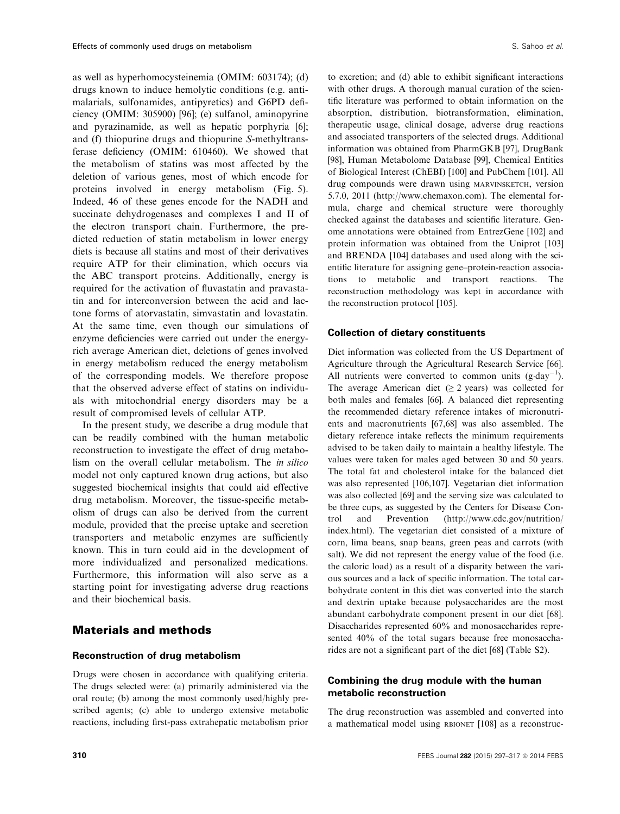as well as hyperhomocysteinemia (OMIM: 603174); (d) drugs known to induce hemolytic conditions (e.g. antimalarials, sulfonamides, antipyretics) and G6PD deficiency (OMIM: 305900) [96]; (e) sulfanol, aminopyrine and pyrazinamide, as well as hepatic porphyria [6]; and (f) thiopurine drugs and thiopurine S-methyltransferase deficiency (OMIM: 610460). We showed that the metabolism of statins was most affected by the deletion of various genes, most of which encode for proteins involved in energy metabolism (Fig. 5). Indeed, 46 of these genes encode for the NADH and succinate dehydrogenases and complexes I and II of the electron transport chain. Furthermore, the predicted reduction of statin metabolism in lower energy diets is because all statins and most of their derivatives require ATP for their elimination, which occurs via the ABC transport proteins. Additionally, energy is required for the activation of fluvastatin and pravastatin and for interconversion between the acid and lactone forms of atorvastatin, simvastatin and lovastatin. At the same time, even though our simulations of enzyme deficiencies were carried out under the energyrich average American diet, deletions of genes involved in energy metabolism reduced the energy metabolism of the corresponding models. We therefore propose that the observed adverse effect of statins on individuals with mitochondrial energy disorders may be a result of compromised levels of cellular ATP.

In the present study, we describe a drug module that can be readily combined with the human metabolic reconstruction to investigate the effect of drug metabolism on the overall cellular metabolism. The in silico model not only captured known drug actions, but also suggested biochemical insights that could aid effective drug metabolism. Moreover, the tissue-specific metabolism of drugs can also be derived from the current module, provided that the precise uptake and secretion transporters and metabolic enzymes are sufficiently known. This in turn could aid in the development of more individualized and personalized medications. Furthermore, this information will also serve as a starting point for investigating adverse drug reactions and their biochemical basis.

# Materials and methods

# Reconstruction of drug metabolism

Drugs were chosen in accordance with qualifying criteria. The drugs selected were: (a) primarily administered via the oral route; (b) among the most commonly used/highly prescribed agents; (c) able to undergo extensive metabolic reactions, including first-pass extrahepatic metabolism prior

to excretion; and (d) able to exhibit significant interactions with other drugs. A thorough manual curation of the scientific literature was performed to obtain information on the absorption, distribution, biotransformation, elimination, therapeutic usage, clinical dosage, adverse drug reactions and associated transporters of the selected drugs. Additional information was obtained from PharmGKB [97], DrugBank [98], Human Metabolome Database [99], Chemical Entities of Biological Interest (ChEBI) [100] and PubChem [101]. All drug compounds were drawn using MARVINSKETCH, version 5.7.0, 2011 (http://www.chemaxon.com). The elemental formula, charge and chemical structure were thoroughly checked against the databases and scientific literature. Genome annotations were obtained from EntrezGene [102] and protein information was obtained from the Uniprot [103] and BRENDA [104] databases and used along with the scientific literature for assigning gene–protein-reaction associations to metabolic and transport reactions. The reconstruction methodology was kept in accordance with the reconstruction protocol [105].

#### Collection of dietary constituents

Diet information was collected from the US Department of Agriculture through the Agricultural Research Service [66]. All nutrients were converted to common units  $(g \cdot \text{day}^{-1})$ . The average American diet ( $\geq$  2 years) was collected for both males and females [66]. A balanced diet representing the recommended dietary reference intakes of micronutrients and macronutrients [67,68] was also assembled. The dietary reference intake reflects the minimum requirements advised to be taken daily to maintain a healthy lifestyle. The values were taken for males aged between 30 and 50 years. The total fat and cholesterol intake for the balanced diet was also represented [106,107]. Vegetarian diet information was also collected [69] and the serving size was calculated to be three cups, as suggested by the Centers for Disease Control and Prevention (http://www.cdc.gov/nutrition/ index.html). The vegetarian diet consisted of a mixture of corn, lima beans, snap beans, green peas and carrots (with salt). We did not represent the energy value of the food (i.e. the caloric load) as a result of a disparity between the various sources and a lack of specific information. The total carbohydrate content in this diet was converted into the starch and dextrin uptake because polysaccharides are the most abundant carbohydrate component present in our diet [68]. Disaccharides represented 60% and monosaccharides represented 40% of the total sugars because free monosaccharides are not a significant part of the diet [68] (Table S2).

# Combining the drug module with the human metabolic reconstruction

The drug reconstruction was assembled and converted into a mathematical model using RBIONET [108] as a reconstruc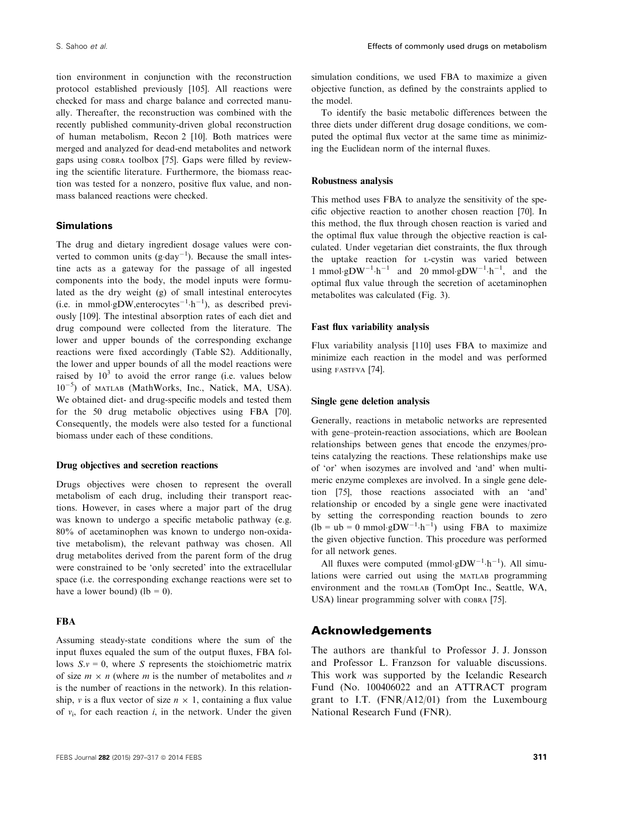tion environment in conjunction with the reconstruction protocol established previously [105]. All reactions were checked for mass and charge balance and corrected manually. Thereafter, the reconstruction was combined with the recently published community-driven global reconstruction of human metabolism, Recon 2 [10]. Both matrices were merged and analyzed for dead-end metabolites and network gaps using COBRA toolbox [75]. Gaps were filled by reviewing the scientific literature. Furthermore, the biomass reaction was tested for a nonzero, positive flux value, and nonmass balanced reactions were checked.

#### Simulations

The drug and dietary ingredient dosage values were converted to common units  $(g \cdot \text{day}^{-1})$ . Because the small intestine acts as a gateway for the passage of all ingested components into the body, the model inputs were formulated as the dry weight (g) of small intestinal enterocytes (i.e. in mmol·gDW,enterocytes<sup>-1</sup>·h<sup>-1</sup>), as described previously [109]. The intestinal absorption rates of each diet and drug compound were collected from the literature. The lower and upper bounds of the corresponding exchange reactions were fixed accordingly (Table S2). Additionally, the lower and upper bounds of all the model reactions were raised by  $10^3$  to avoid the error range (i.e. values below 10<sup>-5</sup>) of MATLAB (MathWorks, Inc., Natick, MA, USA). We obtained diet- and drug-specific models and tested them for the 50 drug metabolic objectives using FBA [70]. Consequently, the models were also tested for a functional biomass under each of these conditions.

#### Drug objectives and secretion reactions

Drugs objectives were chosen to represent the overall metabolism of each drug, including their transport reactions. However, in cases where a major part of the drug was known to undergo a specific metabolic pathway (e.g. 80% of acetaminophen was known to undergo non-oxidative metabolism), the relevant pathway was chosen. All drug metabolites derived from the parent form of the drug were constrained to be 'only secreted' into the extracellular space (i.e. the corresponding exchange reactions were set to have a lower bound) (lb = 0).

#### FBA

Assuming steady-state conditions where the sum of the input fluxes equaled the sum of the output fluxes, FBA follows  $S_v = 0$ , where S represents the stoichiometric matrix of size  $m \times n$  (where m is the number of metabolites and n is the number of reactions in the network). In this relationship, v is a flux vector of size  $n \times 1$ , containing a flux value of  $v_i$ , for each reaction *i*, in the network. Under the given

simulation conditions, we used FBA to maximize a given objective function, as defined by the constraints applied to the model.

To identify the basic metabolic differences between the three diets under different drug dosage conditions, we computed the optimal flux vector at the same time as minimizing the Euclidean norm of the internal fluxes.

#### Robustness analysis

This method uses FBA to analyze the sensitivity of the specific objective reaction to another chosen reaction [70]. In this method, the flux through chosen reaction is varied and the optimal flux value through the objective reaction is calculated. Under vegetarian diet constraints, the flux through the uptake reaction for <sup>L</sup>-cystin was varied between 1 mmol·gDW<sup>-1</sup>·h<sup>-1</sup> and 20 mmol·gDW<sup>-1</sup>·h<sup>-1</sup>, and the optimal flux value through the secretion of acetaminophen metabolites was calculated (Fig. 3).

#### Fast flux variability analysis

Flux variability analysis [110] uses FBA to maximize and minimize each reaction in the model and was performed using FASTFVA [74].

#### Single gene deletion analysis

Generally, reactions in metabolic networks are represented with gene–protein-reaction associations, which are Boolean relationships between genes that encode the enzymes/proteins catalyzing the reactions. These relationships make use of 'or' when isozymes are involved and 'and' when multimeric enzyme complexes are involved. In a single gene deletion [75], those reactions associated with an 'and' relationship or encoded by a single gene were inactivated by setting the corresponding reaction bounds to zero  $(lb = ub = 0$  mmol·gDW<sup>-1</sup>·h<sup>-1</sup>) using FBA to maximize the given objective function. This procedure was performed for all network genes.

All fluxes were computed (mmol·gDW<sup>-1</sup>·h<sup>-1</sup>). All simulations were carried out using the MATLAB programming environment and the TOMLAB (TomOpt Inc., Seattle, WA, USA) linear programming solver with COBRA [75].

# Acknowledgements

The authors are thankful to Professor J. J. Jonsson and Professor L. Franzson for valuable discussions. This work was supported by the Icelandic Research Fund (No. 100406022 and an ATTRACT program grant to I.T. (FNR/A12/01) from the Luxembourg National Research Fund (FNR).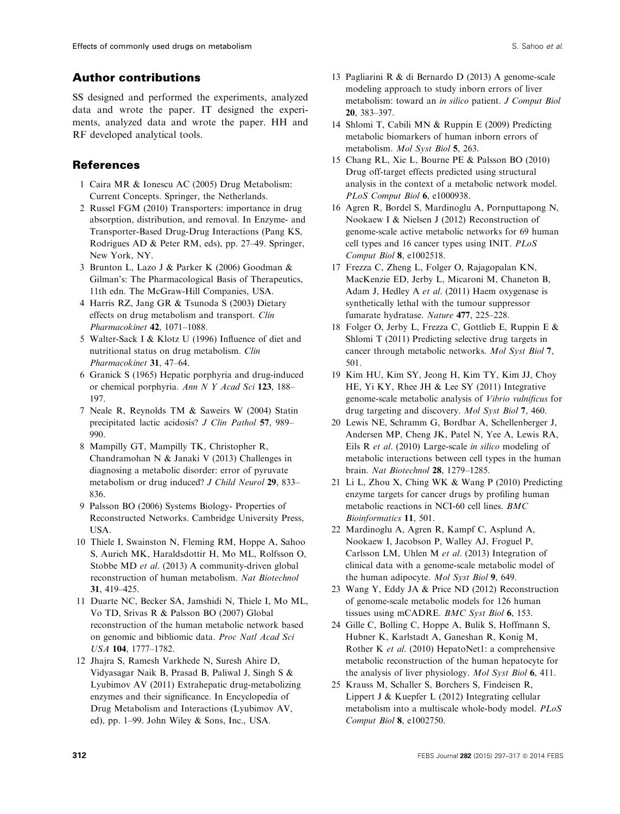# Author contributions

SS designed and performed the experiments, analyzed data and wrote the paper. IT designed the experiments, analyzed data and wrote the paper. HH and RF developed analytical tools.

# References

- 1 Caira MR & Ionescu AC (2005) Drug Metabolism: Current Concepts. Springer, the Netherlands.
- 2 Russel FGM (2010) Transporters: importance in drug absorption, distribution, and removal. In Enzyme- and Transporter-Based Drug-Drug Interactions (Pang KS, Rodrigues AD & Peter RM, eds), pp. 27–49. Springer, New York, NY.
- 3 Brunton L, Lazo J & Parker K (2006) Goodman & Gilman's: The Pharmacological Basis of Therapeutics, 11th edn. The McGraw-Hill Companies, USA.
- 4 Harris RZ, Jang GR & Tsunoda S (2003) Dietary effects on drug metabolism and transport. Clin Pharmacokinet 42, 1071-1088.
- 5 Walter-Sack I & Klotz U (1996) Influence of diet and nutritional status on drug metabolism. Clin Pharmacokinet 31, 47–64.
- 6 Granick S (1965) Hepatic porphyria and drug-induced or chemical porphyria. Ann N Y Acad Sci 123, 188– 197.
- 7 Neale R, Reynolds TM & Saweirs W (2004) Statin precipitated lactic acidosis? J Clin Pathol 57, 989– 990.
- 8 Mampilly GT, Mampilly TK, Christopher R, Chandramohan N & Janaki V (2013) Challenges in diagnosing a metabolic disorder: error of pyruvate metabolism or drug induced? *J Child Neurol* 29, 833– 836.
- 9 Palsson BO (2006) Systems Biology- Properties of Reconstructed Networks. Cambridge University Press, USA.
- 10 Thiele I, Swainston N, Fleming RM, Hoppe A, Sahoo S, Aurich MK, Haraldsdottir H, Mo ML, Rolfsson O, Stobbe MD et al. (2013) A community-driven global reconstruction of human metabolism. Nat Biotechnol 31, 419–425.
- 11 Duarte NC, Becker SA, Jamshidi N, Thiele I, Mo ML, Vo TD, Srivas R & Palsson BO (2007) Global reconstruction of the human metabolic network based on genomic and bibliomic data. Proc Natl Acad Sci USA 104, 1777–1782.
- 12 Jhajra S, Ramesh Varkhede N, Suresh Ahire D, Vidyasagar Naik B, Prasad B, Paliwal J, Singh S & Lyubimov AV (2011) Extrahepatic drug-metabolizing enzymes and their significance. In Encyclopedia of Drug Metabolism and Interactions (Lyubimov AV, ed), pp. 1–99. John Wiley & Sons, Inc., USA.
- 13 Pagliarini R & di Bernardo D (2013) A genome-scale modeling approach to study inborn errors of liver metabolism: toward an in silico patient. J Comput Biol 20, 383–397.
- 14 Shlomi T, Cabili MN & Ruppin E (2009) Predicting metabolic biomarkers of human inborn errors of metabolism. Mol Syst Biol 5, 263.
- 15 Chang RL, Xie L, Bourne PE & Palsson BO (2010) Drug off-target effects predicted using structural analysis in the context of a metabolic network model. PLoS Comput Biol 6, e1000938.
- 16 Agren R, Bordel S, Mardinoglu A, Pornputtapong N, Nookaew I & Nielsen J (2012) Reconstruction of genome-scale active metabolic networks for 69 human cell types and 16 cancer types using INIT. PLoS Comput Biol 8, e1002518.
- 17 Frezza C, Zheng L, Folger O, Rajagopalan KN, MacKenzie ED, Jerby L, Micaroni M, Chaneton B, Adam J, Hedley A et al. (2011) Haem oxygenase is synthetically lethal with the tumour suppressor fumarate hydratase. Nature 477, 225–228.
- 18 Folger O, Jerby L, Frezza C, Gottlieb E, Ruppin E & Shlomi T (2011) Predicting selective drug targets in cancer through metabolic networks. Mol Syst Biol 7, 501.
- 19 Kim HU, Kim SY, Jeong H, Kim TY, Kim JJ, Choy HE, Yi KY, Rhee JH & Lee SY (2011) Integrative genome-scale metabolic analysis of Vibrio vulnificus for drug targeting and discovery. Mol Syst Biol 7, 460.
- 20 Lewis NE, Schramm G, Bordbar A, Schellenberger J, Andersen MP, Cheng JK, Patel N, Yee A, Lewis RA, Eils R et al. (2010) Large-scale in silico modeling of metabolic interactions between cell types in the human brain. Nat Biotechnol 28, 1279–1285.
- 21 Li L, Zhou X, Ching WK & Wang P (2010) Predicting enzyme targets for cancer drugs by profiling human metabolic reactions in NCI-60 cell lines. BMC Bioinformatics 11, 501.
- 22 Mardinoglu A, Agren R, Kampf C, Asplund A, Nookaew I, Jacobson P, Walley AJ, Froguel P, Carlsson LM, Uhlen M et al. (2013) Integration of clinical data with a genome-scale metabolic model of the human adipocyte. Mol Syst Biol 9, 649.
- 23 Wang Y, Eddy JA & Price ND (2012) Reconstruction of genome-scale metabolic models for 126 human tissues using mCADRE. BMC Syst Biol 6, 153.
- 24 Gille C, Bolling C, Hoppe A, Bulik S, Hoffmann S, Hubner K, Karlstadt A, Ganeshan R, Konig M, Rother K et al. (2010) HepatoNet1: a comprehensive metabolic reconstruction of the human hepatocyte for the analysis of liver physiology. Mol Syst Biol 6, 411.
- 25 Krauss M, Schaller S, Borchers S, Findeisen R, Lippert J & Kuepfer L (2012) Integrating cellular metabolism into a multiscale whole-body model. PLoS Comput Biol 8, e1002750.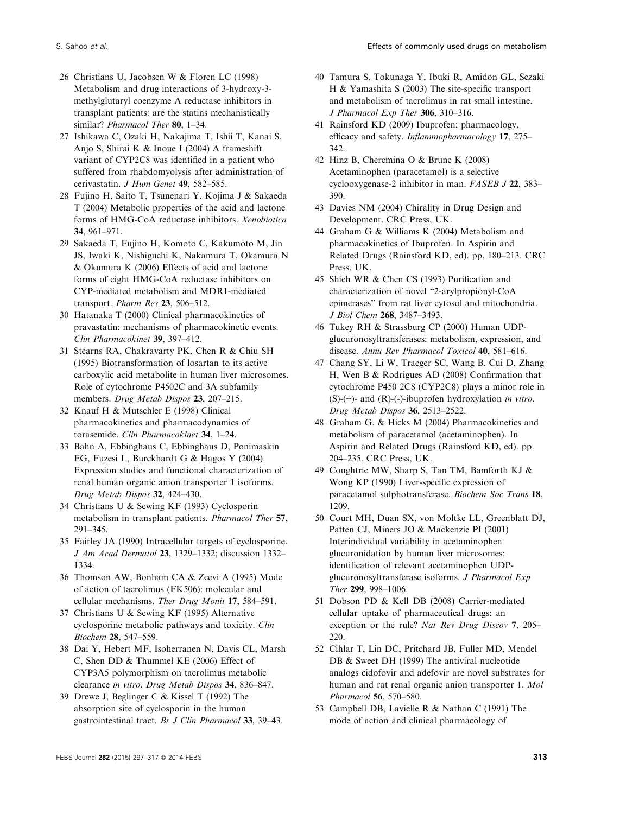- 26 Christians U, Jacobsen W & Floren LC (1998) Metabolism and drug interactions of 3-hydroxy-3 methylglutaryl coenzyme A reductase inhibitors in transplant patients: are the statins mechanistically similar? *Pharmacol Ther* 80, 1-34.
- 27 Ishikawa C, Ozaki H, Nakajima T, Ishii T, Kanai S, Anjo S, Shirai K & Inoue I (2004) A frameshift variant of CYP2C8 was identified in a patient who suffered from rhabdomyolysis after administration of cerivastatin. J Hum Genet 49, 582–585.
- 28 Fujino H, Saito T, Tsunenari Y, Kojima J & Sakaeda T (2004) Metabolic properties of the acid and lactone forms of HMG-CoA reductase inhibitors. Xenobiotica 34, 961–971.
- 29 Sakaeda T, Fujino H, Komoto C, Kakumoto M, Jin JS, Iwaki K, Nishiguchi K, Nakamura T, Okamura N & Okumura K (2006) Effects of acid and lactone forms of eight HMG-CoA reductase inhibitors on CYP-mediated metabolism and MDR1-mediated transport. Pharm Res 23, 506–512.
- 30 Hatanaka T (2000) Clinical pharmacokinetics of pravastatin: mechanisms of pharmacokinetic events. Clin Pharmacokinet 39, 397–412.
- 31 Stearns RA, Chakravarty PK, Chen R & Chiu SH (1995) Biotransformation of losartan to its active carboxylic acid metabolite in human liver microsomes. Role of cytochrome P4502C and 3A subfamily members. Drug Metab Dispos 23, 207–215.
- 32 Knauf H & Mutschler E (1998) Clinical pharmacokinetics and pharmacodynamics of torasemide. Clin Pharmacokinet 34, 1–24.
- 33 Bahn A, Ebbinghaus C, Ebbinghaus D, Ponimaskin EG, Fuzesi L, Burckhardt G & Hagos Y (2004) Expression studies and functional characterization of renal human organic anion transporter 1 isoforms. Drug Metab Dispos 32, 424–430.
- 34 Christians U & Sewing KF (1993) Cyclosporin metabolism in transplant patients. Pharmacol Ther 57, 291–345.
- 35 Fairley JA (1990) Intracellular targets of cyclosporine. J Am Acad Dermatol 23, 1329–1332; discussion 1332– 1334.
- 36 Thomson AW, Bonham CA & Zeevi A (1995) Mode of action of tacrolimus (FK506): molecular and cellular mechanisms. Ther Drug Monit 17, 584–591.
- 37 Christians U & Sewing KF (1995) Alternative cyclosporine metabolic pathways and toxicity. Clin Biochem 28, 547–559.
- 38 Dai Y, Hebert MF, Isoherranen N, Davis CL, Marsh C, Shen DD & Thummel KE (2006) Effect of CYP3A5 polymorphism on tacrolimus metabolic clearance in vitro. Drug Metab Dispos 34, 836–847.
- 39 Drewe J, Beglinger C & Kissel T (1992) The absorption site of cyclosporin in the human gastrointestinal tract. Br J Clin Pharmacol 33, 39–43.
- 40 Tamura S, Tokunaga Y, Ibuki R, Amidon GL, Sezaki H & Yamashita S (2003) The site-specific transport and metabolism of tacrolimus in rat small intestine. J Pharmacol Exp Ther 306, 310–316.
- 41 Rainsford KD (2009) Ibuprofen: pharmacology, efficacy and safety. Inflammopharmacology 17, 275– 342.
- 42 Hinz B, Cheremina O & Brune K (2008) Acetaminophen (paracetamol) is a selective cyclooxygenase-2 inhibitor in man. FASEB J 22, 383– 390.
- 43 Davies NM (2004) Chirality in Drug Design and Development. CRC Press, UK.
- 44 Graham G & Williams K (2004) Metabolism and pharmacokinetics of Ibuprofen. In Aspirin and Related Drugs (Rainsford KD, ed). pp. 180–213. CRC Press, UK.
- 45 Shieh WR & Chen CS (1993) Purification and characterization of novel "2-arylpropionyl-CoA epimerases" from rat liver cytosol and mitochondria. J Biol Chem 268, 3487–3493.
- 46 Tukey RH & Strassburg CP (2000) Human UDPglucuronosyltransferases: metabolism, expression, and disease. Annu Rev Pharmacol Toxicol 40, 581–616.
- 47 Chang SY, Li W, Traeger SC, Wang B, Cui D, Zhang H, Wen B & Rodrigues AD (2008) Confirmation that cytochrome P450 2C8 (CYP2C8) plays a minor role in  $(S)-(+)$ - and  $(R)-(-)$ -ibuprofen hydroxylation *in vitro*. Drug Metab Dispos 36, 2513–2522.
- 48 Graham G. & Hicks M (2004) Pharmacokinetics and metabolism of paracetamol (acetaminophen). In Aspirin and Related Drugs (Rainsford KD, ed). pp. 204–235. CRC Press, UK.
- 49 Coughtrie MW, Sharp S, Tan TM, Bamforth KJ & Wong KP (1990) Liver-specific expression of paracetamol sulphotransferase. Biochem Soc Trans 18, 1209.
- 50 Court MH, Duan SX, von Moltke LL, Greenblatt DJ, Patten CJ, Miners JO & Mackenzie PI (2001) Interindividual variability in acetaminophen glucuronidation by human liver microsomes: identification of relevant acetaminophen UDPglucuronosyltransferase isoforms. J Pharmacol Exp Ther 299, 998–1006.
- 51 Dobson PD & Kell DB (2008) Carrier-mediated cellular uptake of pharmaceutical drugs: an exception or the rule? Nat Rev Drug Discov 7, 205-220.
- 52 Cihlar T, Lin DC, Pritchard JB, Fuller MD, Mendel DB & Sweet DH (1999) The antiviral nucleotide analogs cidofovir and adefovir are novel substrates for human and rat renal organic anion transporter 1. Mol Pharmacol 56, 570–580.
- 53 Campbell DB, Lavielle R & Nathan C (1991) The mode of action and clinical pharmacology of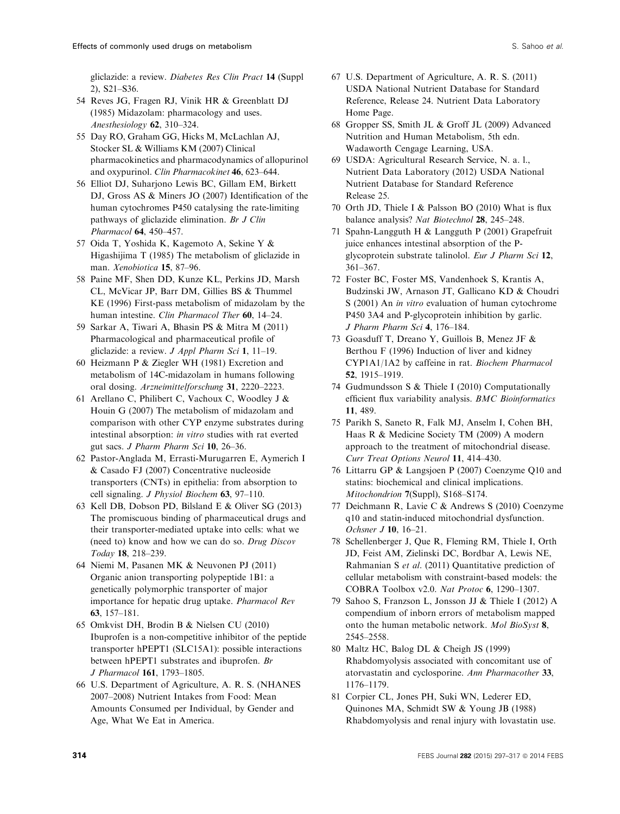gliclazide: a review. Diabetes Res Clin Pract 14 (Suppl 2), S21–S36.

- 54 Reves JG, Fragen RJ, Vinik HR & Greenblatt DJ (1985) Midazolam: pharmacology and uses. Anesthesiology 62, 310–324.
- 55 Day RO, Graham GG, Hicks M, McLachlan AJ, Stocker SL & Williams KM (2007) Clinical pharmacokinetics and pharmacodynamics of allopurinol and oxypurinol. Clin Pharmacokinet 46, 623–644.
- 56 Elliot DJ, Suharjono Lewis BC, Gillam EM, Birkett DJ, Gross AS & Miners JO (2007) Identification of the human cytochromes P450 catalysing the rate-limiting pathways of gliclazide elimination. Br J Clin Pharmacol 64, 450–457.
- 57 Oida T, Yoshida K, Kagemoto A, Sekine Y & Higashijima T (1985) The metabolism of gliclazide in man. Xenobiotica 15, 87-96.
- 58 Paine MF, Shen DD, Kunze KL, Perkins JD, Marsh CL, McVicar JP, Barr DM, Gillies BS & Thummel KE (1996) First-pass metabolism of midazolam by the human intestine. Clin Pharmacol Ther 60, 14–24.
- 59 Sarkar A, Tiwari A, Bhasin PS & Mitra M (2011) Pharmacological and pharmaceutical profile of gliclazide: a review. J Appl Pharm Sci 1, 11–19.
- 60 Heizmann P & Ziegler WH (1981) Excretion and metabolism of 14C-midazolam in humans following oral dosing. Arzneimittelforschung 31, 2220–2223.
- 61 Arellano C, Philibert C, Vachoux C, Woodley J & Houin G (2007) The metabolism of midazolam and comparison with other CYP enzyme substrates during intestinal absorption: in vitro studies with rat everted gut sacs. J Pharm Pharm Sci 10, 26–36.
- 62 Pastor-Anglada M, Errasti-Murugarren E, Aymerich I & Casado FJ (2007) Concentrative nucleoside transporters (CNTs) in epithelia: from absorption to cell signaling. J Physiol Biochem 63, 97–110.
- 63 Kell DB, Dobson PD, Bilsland E & Oliver SG (2013) The promiscuous binding of pharmaceutical drugs and their transporter-mediated uptake into cells: what we (need to) know and how we can do so. Drug Discov Today 18, 218–239.
- 64 Niemi M, Pasanen MK & Neuvonen PJ (2011) Organic anion transporting polypeptide 1B1: a genetically polymorphic transporter of major importance for hepatic drug uptake. Pharmacol Rev 63, 157–181.
- 65 Omkvist DH, Brodin B & Nielsen CU (2010) Ibuprofen is a non-competitive inhibitor of the peptide transporter hPEPT1 (SLC15A1): possible interactions between hPEPT1 substrates and ibuprofen. Br J Pharmacol 161, 1793–1805.
- 66 U.S. Department of Agriculture, A. R. S. (NHANES 2007–2008) Nutrient Intakes from Food: Mean Amounts Consumed per Individual, by Gender and Age, What We Eat in America.
- 67 U.S. Department of Agriculture, A. R. S. (2011) USDA National Nutrient Database for Standard Reference, Release 24. Nutrient Data Laboratory Home Page.
- 68 Gropper SS, Smith JL & Groff JL (2009) Advanced Nutrition and Human Metabolism, 5th edn. Wadaworth Cengage Learning, USA.
- 69 USDA: Agricultural Research Service, N. a. l., Nutrient Data Laboratory (2012) USDA National Nutrient Database for Standard Reference Release 25.
- 70 Orth JD, Thiele I & Palsson BO (2010) What is flux balance analysis? Nat Biotechnol 28, 245–248.
- 71 Spahn-Langguth H & Langguth P (2001) Grapefruit juice enhances intestinal absorption of the Pglycoprotein substrate talinolol. Eur J Pharm Sci 12, 361–367.
- 72 Foster BC, Foster MS, Vandenhoek S, Krantis A, Budzinski JW, Arnason JT, Gallicano KD & Choudri S (2001) An *in vitro* evaluation of human cytochrome P450 3A4 and P-glycoprotein inhibition by garlic. J Pharm Pharm Sci 4, 176–184.
- 73 Goasduff T, Dreano Y, Guillois B, Menez JF & Berthou F (1996) Induction of liver and kidney CYP1A1/1A2 by caffeine in rat. Biochem Pharmacol 52, 1915–1919.
- 74 Gudmundsson S & Thiele I (2010) Computationally efficient flux variability analysis. BMC Bioinformatics 11, 489.
- 75 Parikh S, Saneto R, Falk MJ, Anselm I, Cohen BH, Haas R & Medicine Society TM (2009) A modern approach to the treatment of mitochondrial disease. Curr Treat Options Neurol 11, 414–430.
- 76 Littarru GP & Langsjoen P (2007) Coenzyme Q10 and statins: biochemical and clinical implications. Mitochondrion 7(Suppl), S168–S174.
- 77 Deichmann R, Lavie C & Andrews S (2010) Coenzyme q10 and statin-induced mitochondrial dysfunction. Ochsner J 10, 16–21.
- 78 Schellenberger J, Que R, Fleming RM, Thiele I, Orth JD, Feist AM, Zielinski DC, Bordbar A, Lewis NE, Rahmanian S et al. (2011) Quantitative prediction of cellular metabolism with constraint-based models: the COBRA Toolbox v2.0. Nat Protoc 6, 1290–1307.
- 79 Sahoo S, Franzson L, Jonsson JJ & Thiele I (2012) A compendium of inborn errors of metabolism mapped onto the human metabolic network. Mol BioSyst 8, 2545–2558.
- 80 Maltz HC, Balog DL & Cheigh JS (1999) Rhabdomyolysis associated with concomitant use of atorvastatin and cyclosporine. Ann Pharmacother 33, 1176–1179.
- 81 Corpier CL, Jones PH, Suki WN, Lederer ED, Quinones MA, Schmidt SW & Young JB (1988) Rhabdomyolysis and renal injury with lovastatin use.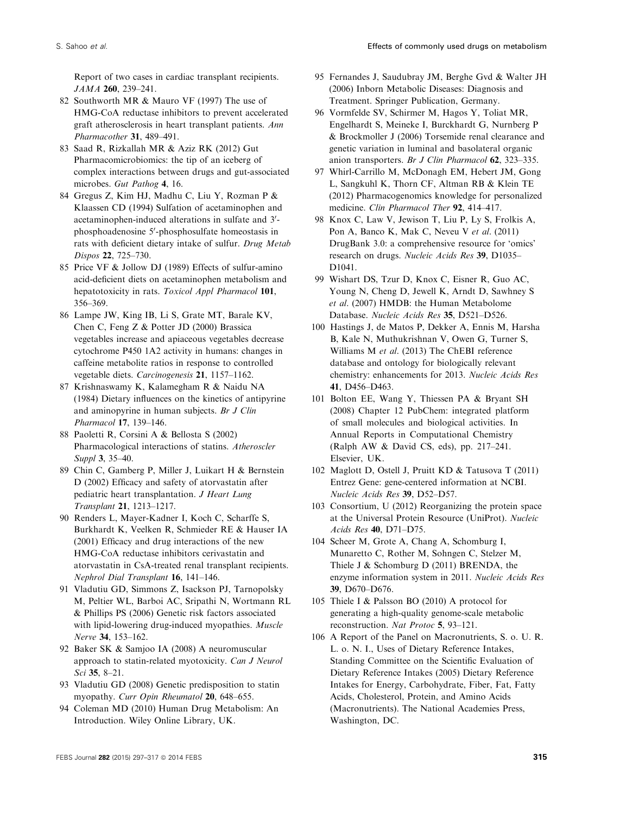Report of two cases in cardiac transplant recipients. JAMA 260, 239–241.

- 82 Southworth MR & Mauro VF (1997) The use of HMG-CoA reductase inhibitors to prevent accelerated graft atherosclerosis in heart transplant patients. Ann Pharmacother 31, 489–491.
- 83 Saad R, Rizkallah MR & Aziz RK (2012) Gut Pharmacomicrobiomics: the tip of an iceberg of complex interactions between drugs and gut-associated microbes. Gut Pathog 4, 16.
- 84 Gregus Z, Kim HJ, Madhu C, Liu Y, Rozman P & Klaassen CD (1994) Sulfation of acetaminophen and acetaminophen-induced alterations in sulfate and 3'phosphoadenosine 5'-phosphosulfate homeostasis in rats with deficient dietary intake of sulfur. Drug Metab Dispos 22, 725–730.
- 85 Price VF & Jollow DJ (1989) Effects of sulfur-amino acid-deficient diets on acetaminophen metabolism and hepatotoxicity in rats. Toxicol Appl Pharmacol 101, 356–369.
- 86 Lampe JW, King IB, Li S, Grate MT, Barale KV, Chen C, Feng Z & Potter JD (2000) Brassica vegetables increase and apiaceous vegetables decrease cytochrome P450 1A2 activity in humans: changes in caffeine metabolite ratios in response to controlled vegetable diets. Carcinogenesis 21, 1157–1162.
- 87 Krishnaswamy K, Kalamegham R & Naidu NA (1984) Dietary influences on the kinetics of antipyrine and aminopyrine in human subjects. Br J Clin Pharmacol 17, 139–146.
- 88 Paoletti R, Corsini A & Bellosta S (2002) Pharmacological interactions of statins. Atheroscler Suppl 3, 35–40.
- 89 Chin C, Gamberg P, Miller J, Luikart H & Bernstein D (2002) Efficacy and safety of atorvastatin after pediatric heart transplantation. J Heart Lung Transplant 21, 1213–1217.
- 90 Renders L, Mayer-Kadner I, Koch C, Scharffe S, Burkhardt K, Veelken R, Schmieder RE & Hauser IA (2001) Efficacy and drug interactions of the new HMG-CoA reductase inhibitors cerivastatin and atorvastatin in CsA-treated renal transplant recipients. Nephrol Dial Transplant 16, 141–146.
- 91 Vladutiu GD, Simmons Z, Isackson PJ, Tarnopolsky M, Peltier WL, Barboi AC, Sripathi N, Wortmann RL & Phillips PS (2006) Genetic risk factors associated with lipid-lowering drug-induced myopathies. Muscle Nerve 34, 153–162.
- 92 Baker SK & Samjoo IA (2008) A neuromuscular approach to statin-related myotoxicity. Can J Neurol Sci 35, 8–21.
- 93 Vladutiu GD (2008) Genetic predisposition to statin myopathy. Curr Opin Rheumatol 20, 648-655.
- 94 Coleman MD (2010) Human Drug Metabolism: An Introduction. Wiley Online Library, UK.
- 95 Fernandes J, Saudubray JM, Berghe Gvd & Walter JH (2006) Inborn Metabolic Diseases: Diagnosis and Treatment. Springer Publication, Germany.
- 96 Vormfelde SV, Schirmer M, Hagos Y, Toliat MR, Engelhardt S, Meineke I, Burckhardt G, Nurnberg P & Brockmoller J (2006) Torsemide renal clearance and genetic variation in luminal and basolateral organic anion transporters. Br J Clin Pharmacol 62, 323–335.
- 97 Whirl-Carrillo M, McDonagh EM, Hebert JM, Gong L, Sangkuhl K, Thorn CF, Altman RB & Klein TE (2012) Pharmacogenomics knowledge for personalized medicine. Clin Pharmacol Ther 92, 414-417.
- 98 Knox C, Law V, Jewison T, Liu P, Ly S, Frolkis A, Pon A, Banco K, Mak C, Neveu V et al. (2011) DrugBank 3.0: a comprehensive resource for 'omics' research on drugs. Nucleic Acids Res 39, D1035– D1041.
- 99 Wishart DS, Tzur D, Knox C, Eisner R, Guo AC, Young N, Cheng D, Jewell K, Arndt D, Sawhney S et al. (2007) HMDB: the Human Metabolome Database. Nucleic Acids Res 35, D521–D526.
- 100 Hastings J, de Matos P, Dekker A, Ennis M, Harsha B, Kale N, Muthukrishnan V, Owen G, Turner S, Williams M et al. (2013) The ChEBI reference database and ontology for biologically relevant chemistry: enhancements for 2013. Nucleic Acids Res 41, D456–D463.
- 101 Bolton EE, Wang Y, Thiessen PA & Bryant SH (2008) Chapter 12 PubChem: integrated platform of small molecules and biological activities. In Annual Reports in Computational Chemistry (Ralph AW & David CS, eds), pp. 217–241. Elsevier, UK.
- 102 Maglott D, Ostell J, Pruitt KD & Tatusova T (2011) Entrez Gene: gene-centered information at NCBI. Nucleic Acids Res 39, D52–D57.
- 103 Consortium, U (2012) Reorganizing the protein space at the Universal Protein Resource (UniProt). Nucleic Acids Res 40, D71–D75.
- 104 Scheer M, Grote A, Chang A, Schomburg I, Munaretto C, Rother M, Sohngen C, Stelzer M, Thiele J & Schomburg D (2011) BRENDA, the enzyme information system in 2011. Nucleic Acids Res 39, D670–D676.
- 105 Thiele I & Palsson BO (2010) A protocol for generating a high-quality genome-scale metabolic reconstruction. Nat Protoc 5, 93–121.
- 106 A Report of the Panel on Macronutrients, S. o. U. R. L. o. N. I., Uses of Dietary Reference Intakes, Standing Committee on the Scientific Evaluation of Dietary Reference Intakes (2005) Dietary Reference Intakes for Energy, Carbohydrate, Fiber, Fat, Fatty Acids, Cholesterol, Protein, and Amino Acids (Macronutrients). The National Academies Press, Washington, DC.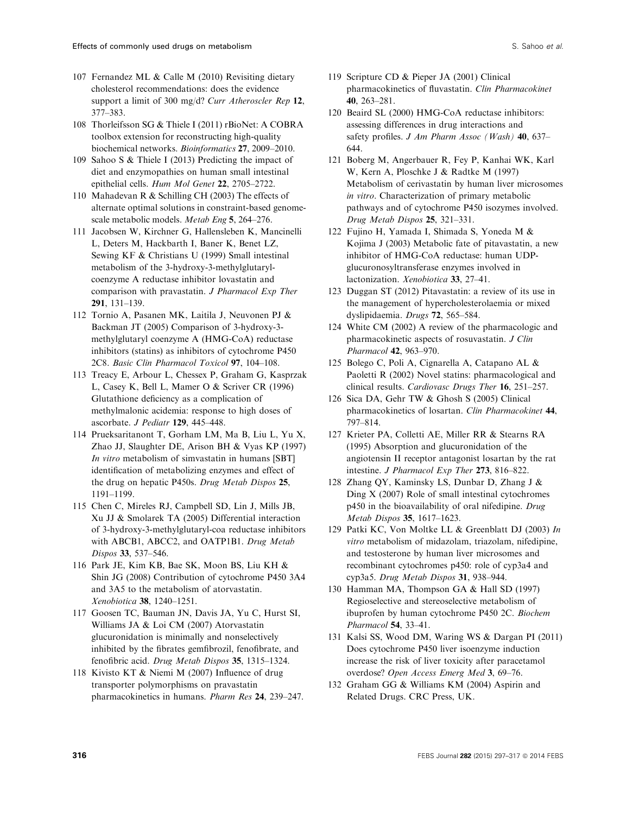- 107 Fernandez ML & Calle M (2010) Revisiting dietary cholesterol recommendations: does the evidence support a limit of 300 mg/d? Curr Atheroscler Rep 12, 377–383.
- 108 Thorleifsson SG & Thiele I (2011) rBioNet: A COBRA toolbox extension for reconstructing high-quality biochemical networks. Bioinformatics 27, 2009–2010.
- 109 Sahoo S & Thiele I (2013) Predicting the impact of diet and enzymopathies on human small intestinal epithelial cells. Hum Mol Genet 22, 2705–2722.
- 110 Mahadevan R & Schilling CH (2003) The effects of alternate optimal solutions in constraint-based genomescale metabolic models. Metab Eng 5, 264–276.
- 111 Jacobsen W, Kirchner G, Hallensleben K, Mancinelli L, Deters M, Hackbarth I, Baner K, Benet LZ, Sewing KF & Christians U (1999) Small intestinal metabolism of the 3-hydroxy-3-methylglutarylcoenzyme A reductase inhibitor lovastatin and comparison with pravastatin. J Pharmacol Exp Ther 291, 131–139.
- 112 Tornio A, Pasanen MK, Laitila J, Neuvonen PJ & Backman JT (2005) Comparison of 3-hydroxy-3 methylglutaryl coenzyme A (HMG-CoA) reductase inhibitors (statins) as inhibitors of cytochrome P450 2C8. Basic Clin Pharmacol Toxicol 97, 104–108.
- 113 Treacy E, Arbour L, Chessex P, Graham G, Kasprzak L, Casey K, Bell L, Mamer O & Scriver CR (1996) Glutathione deficiency as a complication of methylmalonic acidemia: response to high doses of ascorbate. J Pediatr 129, 445–448.
- 114 Prueksaritanont T, Gorham LM, Ma B, Liu L, Yu X, Zhao JJ, Slaughter DE, Arison BH & Vyas KP (1997) In vitro metabolism of simvastatin in humans [SBT] identification of metabolizing enzymes and effect of the drug on hepatic P450s. Drug Metab Dispos 25, 1191–1199.
- 115 Chen C, Mireles RJ, Campbell SD, Lin J, Mills JB, Xu JJ & Smolarek TA (2005) Differential interaction of 3-hydroxy-3-methylglutaryl-coa reductase inhibitors with ABCB1, ABCC2, and OATP1B1. Drug Metab Dispos 33, 537–546.
- 116 Park JE, Kim KB, Bae SK, Moon BS, Liu KH & Shin JG (2008) Contribution of cytochrome P450 3A4 and 3A5 to the metabolism of atorvastatin. Xenobiotica 38, 1240–1251.
- 117 Goosen TC, Bauman JN, Davis JA, Yu C, Hurst SI, Williams JA & Loi CM (2007) Atorvastatin glucuronidation is minimally and nonselectively inhibited by the fibrates gemfibrozil, fenofibrate, and fenofibric acid. Drug Metab Dispos 35, 1315–1324.
- 118 Kivisto KT & Niemi M (2007) Influence of drug transporter polymorphisms on pravastatin pharmacokinetics in humans. Pharm Res 24, 239–247.
- 119 Scripture CD & Pieper JA (2001) Clinical pharmacokinetics of fluvastatin. Clin Pharmacokinet 40, 263–281.
- 120 Beaird SL (2000) HMG-CoA reductase inhibitors: assessing differences in drug interactions and safety profiles. J Am Pharm Assoc (Wash) 40, 637– 644.
- 121 Boberg M, Angerbauer R, Fey P, Kanhai WK, Karl W, Kern A, Ploschke J & Radtke M (1997) Metabolism of cerivastatin by human liver microsomes in vitro. Characterization of primary metabolic pathways and of cytochrome P450 isozymes involved. Drug Metab Dispos 25, 321–331.
- 122 Fujino H, Yamada I, Shimada S, Yoneda M & Kojima J (2003) Metabolic fate of pitavastatin, a new inhibitor of HMG-CoA reductase: human UDPglucuronosyltransferase enzymes involved in lactonization. Xenobiotica 33, 27–41.
- 123 Duggan ST (2012) Pitavastatin: a review of its use in the management of hypercholesterolaemia or mixed dyslipidaemia. Drugs 72, 565–584.
- 124 White CM (2002) A review of the pharmacologic and pharmacokinetic aspects of rosuvastatin. J Clin Pharmacol 42, 963–970.
- 125 Bolego C, Poli A, Cignarella A, Catapano AL & Paoletti R (2002) Novel statins: pharmacological and clinical results. Cardiovasc Drugs Ther 16, 251–257.
- 126 Sica DA, Gehr TW & Ghosh S (2005) Clinical pharmacokinetics of losartan. Clin Pharmacokinet 44, 797–814.
- 127 Krieter PA, Colletti AE, Miller RR & Stearns RA (1995) Absorption and glucuronidation of the angiotensin II receptor antagonist losartan by the rat intestine. J Pharmacol Exp Ther 273, 816–822.
- 128 Zhang QY, Kaminsky LS, Dunbar D, Zhang J & Ding X (2007) Role of small intestinal cytochromes p450 in the bioavailability of oral nifedipine. Drug Metab Dispos 35, 1617–1623.
- 129 Patki KC, Von Moltke LL & Greenblatt DJ (2003) In vitro metabolism of midazolam, triazolam, nifedipine, and testosterone by human liver microsomes and recombinant cytochromes p450: role of cyp3a4 and cyp3a5. Drug Metab Dispos 31, 938–944.
- 130 Hamman MA, Thompson GA & Hall SD (1997) Regioselective and stereoselective metabolism of ibuprofen by human cytochrome P450 2C. Biochem Pharmacol 54, 33–41.
- 131 Kalsi SS, Wood DM, Waring WS & Dargan PI (2011) Does cytochrome P450 liver isoenzyme induction increase the risk of liver toxicity after paracetamol overdose? Open Access Emerg Med 3, 69–76.
- 132 Graham GG & Williams KM (2004) Aspirin and Related Drugs. CRC Press, UK.